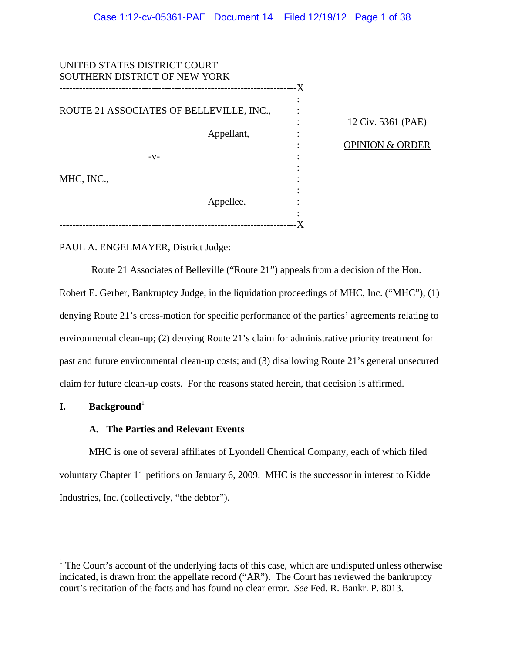| UNITED STATES DISTRICT COURT<br>SOUTHERN DISTRICT OF NEW YORK |            |    |                            |
|---------------------------------------------------------------|------------|----|----------------------------|
|                                                               |            | -X |                            |
| ROUTE 21 ASSOCIATES OF BELLEVILLE, INC.,                      |            |    |                            |
|                                                               |            |    | 12 Civ. 5361 (PAE)         |
|                                                               | Appellant, |    | <b>OPINION &amp; ORDER</b> |
| $-V-$                                                         |            |    |                            |
| MHC, INC.,                                                    |            |    |                            |
|                                                               | Appellee.  |    |                            |
|                                                               |            |    |                            |
|                                                               |            |    |                            |

PAUL A. ENGELMAYER, District Judge:

Route 21 Associates of Belleville ("Route 21") appeals from a decision of the Hon.

Robert E. Gerber, Bankruptcy Judge, in the liquidation proceedings of MHC, Inc. ("MHC"), (1) denying Route 21's cross-motion for specific performance of the parties' agreements relating to environmental clean-up; (2) denying Route 21's claim for administrative priority treatment for past and future environmental clean-up costs; and (3) disallowing Route 21's general unsecured claim for future clean-up costs. For the reasons stated herein, that decision is affirmed.

# **I. Background**<sup>1</sup>

 $\overline{a}$ 

# **A. The Parties and Relevant Events**

MHC is one of several affiliates of Lyondell Chemical Company, each of which filed voluntary Chapter 11 petitions on January 6, 2009. MHC is the successor in interest to Kidde Industries, Inc. (collectively, "the debtor").

 $<sup>1</sup>$  The Court's account of the underlying facts of this case, which are undisputed unless otherwise</sup> indicated, is drawn from the appellate record ("AR"). The Court has reviewed the bankruptcy court's recitation of the facts and has found no clear error. *See* Fed. R. Bankr. P. 8013.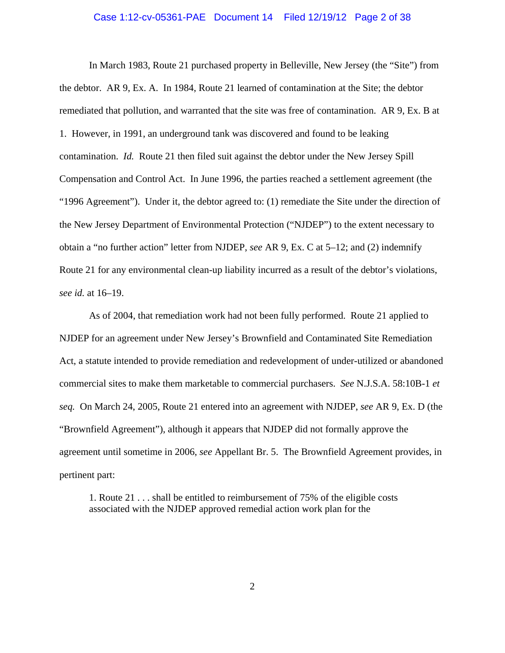### Case 1:12-cv-05361-PAE Document 14 Filed 12/19/12 Page 2 of 38

In March 1983, Route 21 purchased property in Belleville, New Jersey (the "Site") from the debtor. AR 9, Ex. A. In 1984, Route 21 learned of contamination at the Site; the debtor remediated that pollution, and warranted that the site was free of contamination. AR 9, Ex. B at 1. However, in 1991, an underground tank was discovered and found to be leaking contamination. *Id.* Route 21 then filed suit against the debtor under the New Jersey Spill Compensation and Control Act. In June 1996, the parties reached a settlement agreement (the "1996 Agreement"). Under it, the debtor agreed to: (1) remediate the Site under the direction of the New Jersey Department of Environmental Protection ("NJDEP") to the extent necessary to obtain a "no further action" letter from NJDEP, *see* AR 9, Ex. C at 5–12; and (2) indemnify Route 21 for any environmental clean-up liability incurred as a result of the debtor's violations, *see id.* at 16–19.

As of 2004, that remediation work had not been fully performed. Route 21 applied to NJDEP for an agreement under New Jersey's Brownfield and Contaminated Site Remediation Act, a statute intended to provide remediation and redevelopment of under-utilized or abandoned commercial sites to make them marketable to commercial purchasers. *See* N.J.S.A. 58:10B-1 *et seq.* On March 24, 2005, Route 21 entered into an agreement with NJDEP, *see* AR 9, Ex. D (the "Brownfield Agreement"), although it appears that NJDEP did not formally approve the agreement until sometime in 2006, *see* Appellant Br. 5. The Brownfield Agreement provides, in pertinent part:

1. Route 21 . . . shall be entitled to reimbursement of 75% of the eligible costs associated with the NJDEP approved remedial action work plan for the

2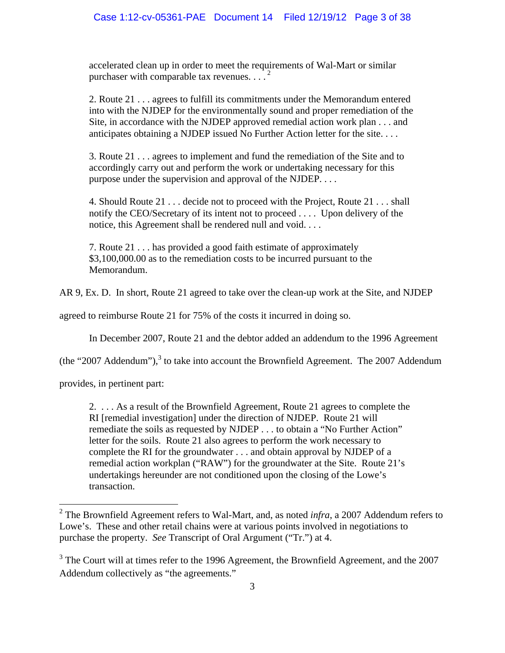accelerated clean up in order to meet the requirements of Wal-Mart or similar purchaser with comparable tax revenues.  $\ldots$ <sup>2</sup>

2. Route 21 . . . agrees to fulfill its commitments under the Memorandum entered into with the NJDEP for the environmentally sound and proper remediation of the Site, in accordance with the NJDEP approved remedial action work plan . . . and anticipates obtaining a NJDEP issued No Further Action letter for the site. . . .

3. Route 21 . . . agrees to implement and fund the remediation of the Site and to accordingly carry out and perform the work or undertaking necessary for this purpose under the supervision and approval of the NJDEP. . . .

4. Should Route 21 . . . decide not to proceed with the Project, Route 21 . . . shall notify the CEO/Secretary of its intent not to proceed . . . . Upon delivery of the notice, this Agreement shall be rendered null and void. . . .

7. Route 21 . . . has provided a good faith estimate of approximately \$3,100,000.00 as to the remediation costs to be incurred pursuant to the Memorandum.

AR 9, Ex. D. In short, Route 21 agreed to take over the clean-up work at the Site, and NJDEP

agreed to reimburse Route 21 for 75% of the costs it incurred in doing so.

In December 2007, Route 21 and the debtor added an addendum to the 1996 Agreement

(the "2007 Addendum"), $3$  to take into account the Brownfield Agreement. The 2007 Addendum

provides, in pertinent part:

2. . . . As a result of the Brownfield Agreement, Route 21 agrees to complete the RI [remedial investigation] under the direction of NJDEP. Route 21 will remediate the soils as requested by NJDEP . . . to obtain a "No Further Action" letter for the soils. Route 21 also agrees to perform the work necessary to complete the RI for the groundwater . . . and obtain approval by NJDEP of a remedial action workplan ("RAW") for the groundwater at the Site. Route 21's undertakings hereunder are not conditioned upon the closing of the Lowe's transaction.

<sup>&</sup>lt;sup>2</sup> The Brownfield Agreement refers to Wal-Mart, and, as noted *infra*, a 2007 Addendum refers to Lowe's. These and other retail chains were at various points involved in negotiations to purchase the property. *See* Transcript of Oral Argument ("Tr.") at 4.

 $3$  The Court will at times refer to the 1996 Agreement, the Brownfield Agreement, and the 2007 Addendum collectively as "the agreements."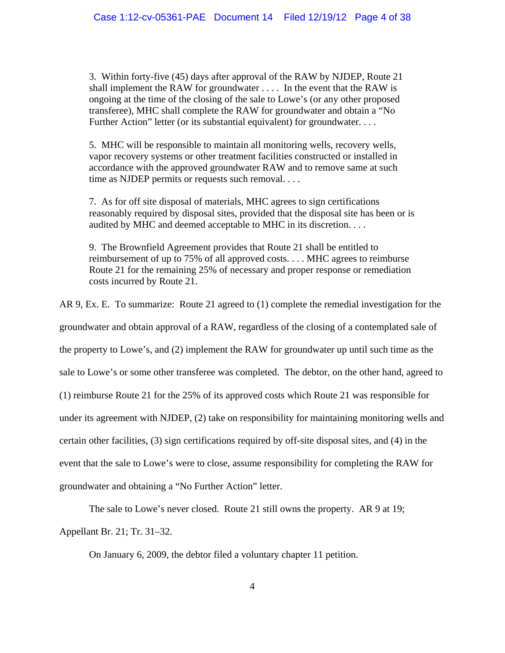3. Within forty-five (45) days after approval of the RAW by NJDEP, Route 21 shall implement the RAW for groundwater . . . . In the event that the RAW is ongoing at the time of the closing of the sale to Lowe's (or any other proposed transferee), MHC shall complete the RAW for groundwater and obtain a "No Further Action" letter (or its substantial equivalent) for groundwater. . . .

5. MHC will be responsible to maintain all monitoring wells, recovery wells, vapor recovery systems or other treatment facilities constructed or installed in accordance with the approved groundwater RAW and to remove same at such time as NJDEP permits or requests such removal. . . .

7. As for off site disposal of materials, MHC agrees to sign certifications reasonably required by disposal sites, provided that the disposal site has been or is audited by MHC and deemed acceptable to MHC in its discretion. . . .

9. The Brownfield Agreement provides that Route 21 shall be entitled to reimbursement of up to 75% of all approved costs. . . . MHC agrees to reimburse Route 21 for the remaining 25% of necessary and proper response or remediation costs incurred by Route 21.

AR 9, Ex. E. To summarize: Route 21 agreed to (1) complete the remedial investigation for the groundwater and obtain approval of a RAW, regardless of the closing of a contemplated sale of the property to Lowe's, and (2) implement the RAW for groundwater up until such time as the sale to Lowe's or some other transferee was completed. The debtor, on the other hand, agreed to (1) reimburse Route 21 for the 25% of its approved costs which Route 21 was responsible for under its agreement with NJDEP, (2) take on responsibility for maintaining monitoring wells and certain other facilities, (3) sign certifications required by off-site disposal sites, and (4) in the event that the sale to Lowe's were to close, assume responsibility for completing the RAW for groundwater and obtaining a "No Further Action" letter.

The sale to Lowe's never closed. Route 21 still owns the property. AR 9 at 19;

Appellant Br. 21; Tr. 31–32.

On January 6, 2009, the debtor filed a voluntary chapter 11 petition.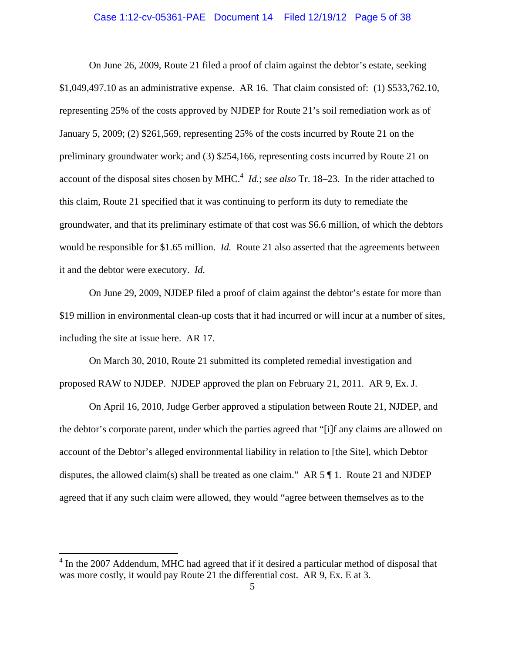### Case 1:12-cv-05361-PAE Document 14 Filed 12/19/12 Page 5 of 38

On June 26, 2009, Route 21 filed a proof of claim against the debtor's estate, seeking \$1,049,497.10 as an administrative expense. AR 16. That claim consisted of: (1) \$533,762.10, representing 25% of the costs approved by NJDEP for Route 21's soil remediation work as of January 5, 2009; (2) \$261,569, representing 25% of the costs incurred by Route 21 on the preliminary groundwater work; and (3) \$254,166, representing costs incurred by Route 21 on account of the disposal sites chosen by MHC.<sup>4</sup> *Id.*; *see also* Tr. 18–23. In the rider attached to this claim, Route 21 specified that it was continuing to perform its duty to remediate the groundwater, and that its preliminary estimate of that cost was \$6.6 million, of which the debtors would be responsible for \$1.65 million. *Id.* Route 21 also asserted that the agreements between it and the debtor were executory. *Id.*

On June 29, 2009, NJDEP filed a proof of claim against the debtor's estate for more than \$19 million in environmental clean-up costs that it had incurred or will incur at a number of sites, including the site at issue here. AR 17.

On March 30, 2010, Route 21 submitted its completed remedial investigation and proposed RAW to NJDEP. NJDEP approved the plan on February 21, 2011. AR 9, Ex. J.

On April 16, 2010, Judge Gerber approved a stipulation between Route 21, NJDEP, and the debtor's corporate parent, under which the parties agreed that "[i]f any claims are allowed on account of the Debtor's alleged environmental liability in relation to [the Site], which Debtor disputes, the allowed claim(s) shall be treated as one claim." AR  $5 \text{ } \text{\ensuremath{\$}} 1$ . Route 21 and NJDEP agreed that if any such claim were allowed, they would "agree between themselves as to the

 4 In the 2007 Addendum, MHC had agreed that if it desired a particular method of disposal that was more costly, it would pay Route 21 the differential cost. AR 9, Ex. E at 3.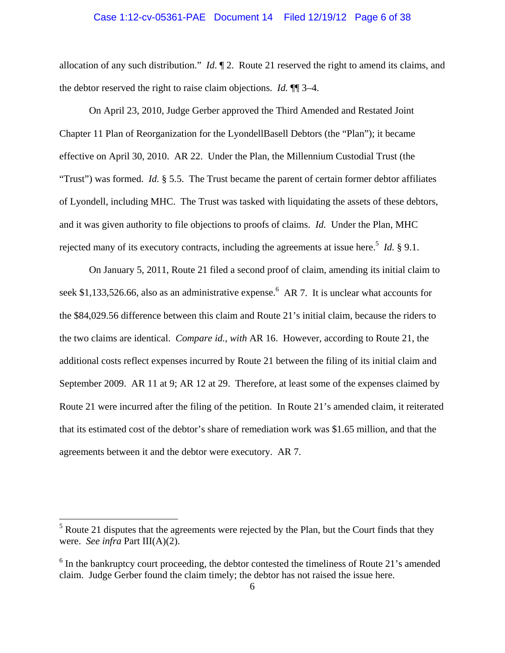### Case 1:12-cv-05361-PAE Document 14 Filed 12/19/12 Page 6 of 38

allocation of any such distribution." *Id*. ¶ 2. Route 21 reserved the right to amend its claims, and the debtor reserved the right to raise claim objections. *Id.* ¶¶ 3–4.

On April 23, 2010, Judge Gerber approved the Third Amended and Restated Joint Chapter 11 Plan of Reorganization for the LyondellBasell Debtors (the "Plan"); it became effective on April 30, 2010. AR 22. Under the Plan, the Millennium Custodial Trust (the "Trust") was formed. *Id.* § 5.5. The Trust became the parent of certain former debtor affiliates of Lyondell, including MHC. The Trust was tasked with liquidating the assets of these debtors, and it was given authority to file objections to proofs of claims. *Id.* Under the Plan, MHC rejected many of its executory contracts, including the agreements at issue here.<sup>5</sup> *Id.* § 9.1.

On January 5, 2011, Route 21 filed a second proof of claim, amending its initial claim to seek \$1,133,526.66, also as an administrative expense.<sup>6</sup> AR 7. It is unclear what accounts for the \$84,029.56 difference between this claim and Route 21's initial claim, because the riders to the two claims are identical. *Compare id.*, *with* AR 16. However, according to Route 21, the additional costs reflect expenses incurred by Route 21 between the filing of its initial claim and September 2009. AR 11 at 9; AR 12 at 29. Therefore, at least some of the expenses claimed by Route 21 were incurred after the filing of the petition. In Route 21's amended claim, it reiterated that its estimated cost of the debtor's share of remediation work was \$1.65 million, and that the agreements between it and the debtor were executory. AR 7.

 $<sup>5</sup>$  Route 21 disputes that the agreements were rejected by the Plan, but the Court finds that they</sup> were. *See infra* Part III(A)(2).

 $6$  In the bankruptcy court proceeding, the debtor contested the timeliness of Route 21's amended claim. Judge Gerber found the claim timely; the debtor has not raised the issue here.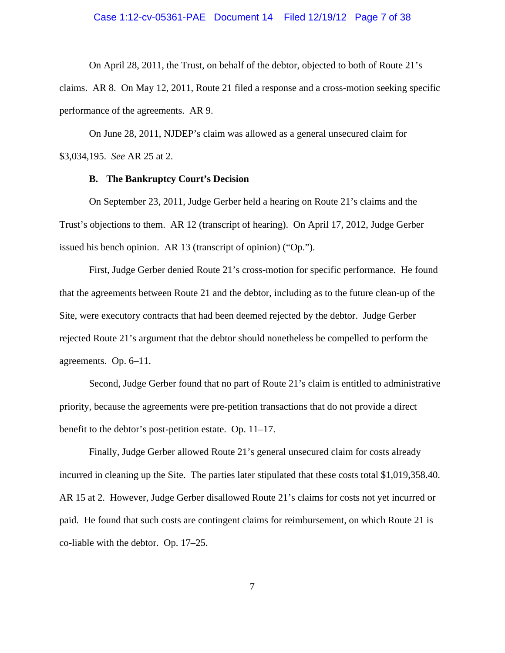### Case 1:12-cv-05361-PAE Document 14 Filed 12/19/12 Page 7 of 38

On April 28, 2011, the Trust, on behalf of the debtor, objected to both of Route 21's claims. AR 8. On May 12, 2011, Route 21 filed a response and a cross-motion seeking specific performance of the agreements. AR 9.

On June 28, 2011, NJDEP's claim was allowed as a general unsecured claim for \$3,034,195. *See* AR 25 at 2.

### **B. The Bankruptcy Court's Decision**

On September 23, 2011, Judge Gerber held a hearing on Route 21's claims and the Trust's objections to them. AR 12 (transcript of hearing). On April 17, 2012, Judge Gerber issued his bench opinion. AR 13 (transcript of opinion) ("Op.").

First, Judge Gerber denied Route 21's cross-motion for specific performance. He found that the agreements between Route 21 and the debtor, including as to the future clean-up of the Site, were executory contracts that had been deemed rejected by the debtor. Judge Gerber rejected Route 21's argument that the debtor should nonetheless be compelled to perform the agreements. Op. 6–11.

Second, Judge Gerber found that no part of Route 21's claim is entitled to administrative priority, because the agreements were pre-petition transactions that do not provide a direct benefit to the debtor's post-petition estate. Op. 11–17.

Finally, Judge Gerber allowed Route 21's general unsecured claim for costs already incurred in cleaning up the Site. The parties later stipulated that these costs total \$1,019,358.40. AR 15 at 2. However, Judge Gerber disallowed Route 21's claims for costs not yet incurred or paid. He found that such costs are contingent claims for reimbursement, on which Route 21 is co-liable with the debtor. Op. 17–25.

7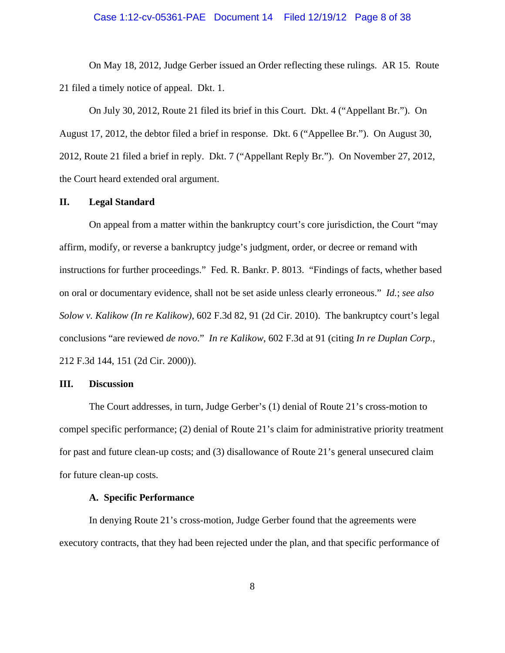### Case 1:12-cv-05361-PAE Document 14 Filed 12/19/12 Page 8 of 38

On May 18, 2012, Judge Gerber issued an Order reflecting these rulings. AR 15. Route 21 filed a timely notice of appeal. Dkt. 1.

On July 30, 2012, Route 21 filed its brief in this Court. Dkt. 4 ("Appellant Br."). On August 17, 2012, the debtor filed a brief in response. Dkt. 6 ("Appellee Br."). On August 30, 2012, Route 21 filed a brief in reply. Dkt. 7 ("Appellant Reply Br."). On November 27, 2012, the Court heard extended oral argument.

#### **II. Legal Standard**

On appeal from a matter within the bankruptcy court's core jurisdiction, the Court "may affirm, modify, or reverse a bankruptcy judge's judgment, order, or decree or remand with instructions for further proceedings." Fed. R. Bankr. P. 8013. "Findings of facts, whether based on oral or documentary evidence, shall not be set aside unless clearly erroneous." *Id.*; *see also Solow v. Kalikow (In re Kalikow)*, 602 F.3d 82, 91 (2d Cir. 2010). The bankruptcy court's legal conclusions "are reviewed *de novo*." *In re Kalikow*, 602 F.3d at 91 (citing *In re Duplan Corp.*, 212 F.3d 144, 151 (2d Cir. 2000)).

#### **III. Discussion**

The Court addresses, in turn, Judge Gerber's (1) denial of Route 21's cross-motion to compel specific performance; (2) denial of Route 21's claim for administrative priority treatment for past and future clean-up costs; and (3) disallowance of Route 21's general unsecured claim for future clean-up costs.

## **A. Specific Performance**

In denying Route 21's cross-motion, Judge Gerber found that the agreements were executory contracts, that they had been rejected under the plan, and that specific performance of

8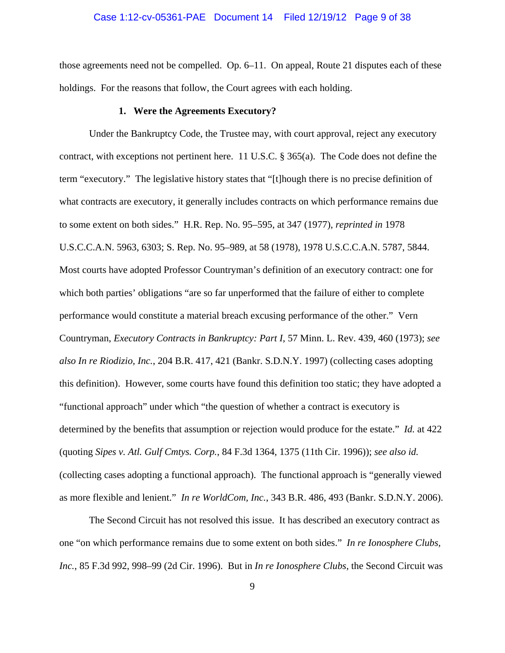### Case 1:12-cv-05361-PAE Document 14 Filed 12/19/12 Page 9 of 38

those agreements need not be compelled. Op. 6–11. On appeal, Route 21 disputes each of these holdings. For the reasons that follow, the Court agrees with each holding.

### **1. Were the Agreements Executory?**

Under the Bankruptcy Code, the Trustee may, with court approval, reject any executory contract, with exceptions not pertinent here. 11 U.S.C.  $\S 365(a)$ . The Code does not define the term "executory." The legislative history states that "[t]hough there is no precise definition of what contracts are executory, it generally includes contracts on which performance remains due to some extent on both sides." H.R. Rep. No. 95–595, at 347 (1977), *reprinted in* 1978 U.S.C.C.A.N. 5963, 6303; S. Rep. No. 95–989, at 58 (1978), 1978 U.S.C.C.A.N. 5787, 5844. Most courts have adopted Professor Countryman's definition of an executory contract: one for which both parties' obligations "are so far unperformed that the failure of either to complete performance would constitute a material breach excusing performance of the other." Vern Countryman, *Executory Contracts in Bankruptcy: Part I*, 57 Minn. L. Rev. 439, 460 (1973); *see also In re Riodizio, Inc.*, 204 B.R. 417, 421 (Bankr. S.D.N.Y. 1997) (collecting cases adopting this definition). However, some courts have found this definition too static; they have adopted a "functional approach" under which "the question of whether a contract is executory is determined by the benefits that assumption or rejection would produce for the estate." *Id.* at 422 (quoting *Sipes v. Atl. Gulf Cmtys. Corp.*, 84 F.3d 1364, 1375 (11th Cir. 1996)); *see also id.* (collecting cases adopting a functional approach). The functional approach is "generally viewed as more flexible and lenient." *In re WorldCom, Inc.*, 343 B.R. 486, 493 (Bankr. S.D.N.Y. 2006).

The Second Circuit has not resolved this issue. It has described an executory contract as one "on which performance remains due to some extent on both sides." *In re Ionosphere Clubs, Inc.*, 85 F.3d 992, 998–99 (2d Cir. 1996). But in *In re Ionosphere Clubs*, the Second Circuit was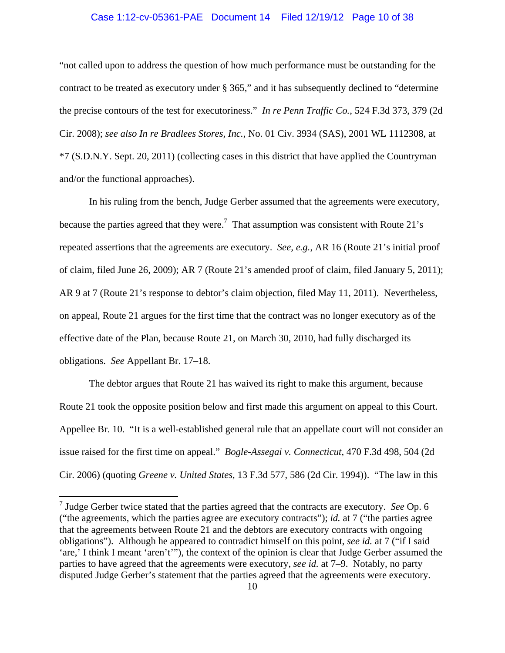### Case 1:12-cv-05361-PAE Document 14 Filed 12/19/12 Page 10 of 38

"not called upon to address the question of how much performance must be outstanding for the contract to be treated as executory under § 365," and it has subsequently declined to "determine the precise contours of the test for executoriness." *In re Penn Traffic Co.*, 524 F.3d 373, 379 (2d Cir. 2008); *see also In re Bradlees Stores, Inc.*, No. 01 Civ. 3934 (SAS), 2001 WL 1112308, at \*7 (S.D.N.Y. Sept. 20, 2011) (collecting cases in this district that have applied the Countryman and/or the functional approaches).

In his ruling from the bench, Judge Gerber assumed that the agreements were executory, because the parties agreed that they were.<sup>7</sup> That assumption was consistent with Route 21's repeated assertions that the agreements are executory. *See, e.g.*, AR 16 (Route 21's initial proof of claim, filed June 26, 2009); AR 7 (Route 21's amended proof of claim, filed January 5, 2011); AR 9 at 7 (Route 21's response to debtor's claim objection, filed May 11, 2011). Nevertheless, on appeal, Route 21 argues for the first time that the contract was no longer executory as of the effective date of the Plan, because Route 21, on March 30, 2010, had fully discharged its obligations. *See* Appellant Br. 17–18.

The debtor argues that Route 21 has waived its right to make this argument, because Route 21 took the opposite position below and first made this argument on appeal to this Court. Appellee Br. 10. "It is a well-established general rule that an appellate court will not consider an issue raised for the first time on appeal." *Bogle-Assegai v. Connecticut*, 470 F.3d 498, 504 (2d Cir. 2006) (quoting *Greene v. United States*, 13 F.3d 577, 586 (2d Cir. 1994)). "The law in this

<sup>7</sup> Judge Gerber twice stated that the parties agreed that the contracts are executory. *See* Op. 6 ("the agreements, which the parties agree are executory contracts"); *id.* at 7 ("the parties agree that the agreements between Route 21 and the debtors are executory contracts with ongoing obligations"). Although he appeared to contradict himself on this point, *see id.* at 7 ("if I said 'are,' I think I meant 'aren't'"), the context of the opinion is clear that Judge Gerber assumed the parties to have agreed that the agreements were executory, *see id.* at 7–9. Notably, no party disputed Judge Gerber's statement that the parties agreed that the agreements were executory.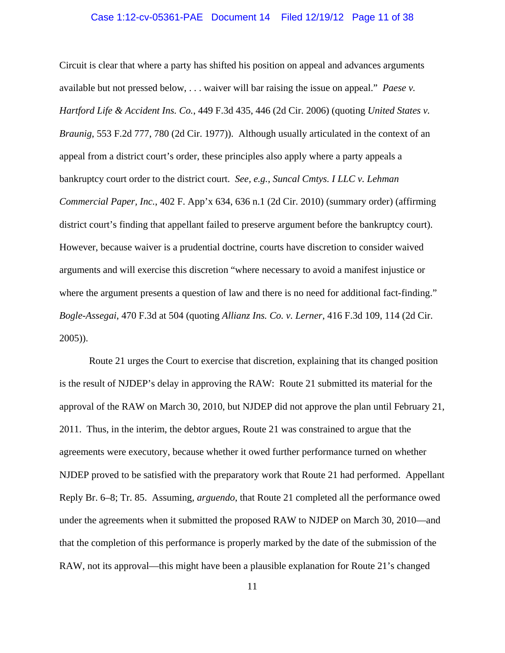### Case 1:12-cv-05361-PAE Document 14 Filed 12/19/12 Page 11 of 38

Circuit is clear that where a party has shifted his position on appeal and advances arguments available but not pressed below, . . . waiver will bar raising the issue on appeal." *Paese v. Hartford Life & Accident Ins. Co.*, 449 F.3d 435, 446 (2d Cir. 2006) (quoting *United States v. Braunig*, 553 F.2d 777, 780 (2d Cir. 1977)). Although usually articulated in the context of an appeal from a district court's order, these principles also apply where a party appeals a bankruptcy court order to the district court. *See, e.g.*, *Suncal Cmtys. I LLC v. Lehman Commercial Paper, Inc.*, 402 F. App'x 634, 636 n.1 (2d Cir. 2010) (summary order) (affirming district court's finding that appellant failed to preserve argument before the bankruptcy court). However, because waiver is a prudential doctrine, courts have discretion to consider waived arguments and will exercise this discretion "where necessary to avoid a manifest injustice or where the argument presents a question of law and there is no need for additional fact-finding." *Bogle-Assegai*, 470 F.3d at 504 (quoting *Allianz Ins. Co. v. Lerner*, 416 F.3d 109, 114 (2d Cir. 2005)).

Route 21 urges the Court to exercise that discretion, explaining that its changed position is the result of NJDEP's delay in approving the RAW: Route 21 submitted its material for the approval of the RAW on March 30, 2010, but NJDEP did not approve the plan until February 21, 2011. Thus, in the interim, the debtor argues, Route 21 was constrained to argue that the agreements were executory, because whether it owed further performance turned on whether NJDEP proved to be satisfied with the preparatory work that Route 21 had performed. Appellant Reply Br. 6–8; Tr. 85. Assuming, *arguendo*, that Route 21 completed all the performance owed under the agreements when it submitted the proposed RAW to NJDEP on March 30, 2010—and that the completion of this performance is properly marked by the date of the submission of the RAW, not its approval—this might have been a plausible explanation for Route 21's changed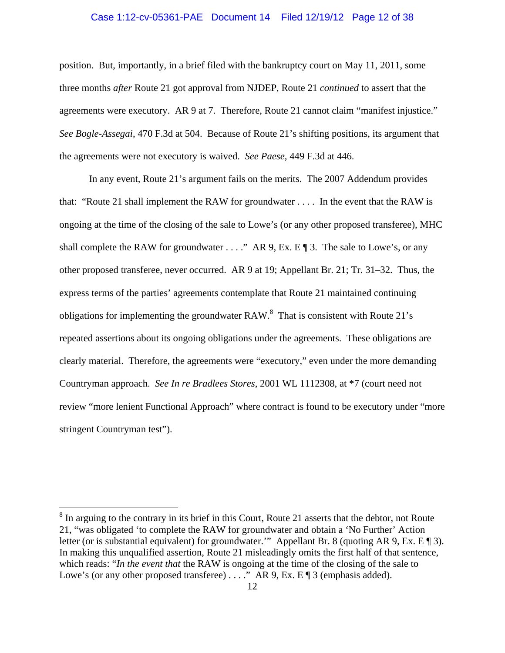#### Case 1:12-cv-05361-PAE Document 14 Filed 12/19/12 Page 12 of 38

position. But, importantly, in a brief filed with the bankruptcy court on May 11, 2011, some three months *after* Route 21 got approval from NJDEP, Route 21 *continued* to assert that the agreements were executory. AR 9 at 7. Therefore, Route 21 cannot claim "manifest injustice." *See Bogle-Assegai*, 470 F.3d at 504. Because of Route 21's shifting positions, its argument that the agreements were not executory is waived. *See Paese*, 449 F.3d at 446.

In any event, Route 21's argument fails on the merits. The 2007 Addendum provides that: "Route 21 shall implement the RAW for groundwater . . . . In the event that the RAW is ongoing at the time of the closing of the sale to Lowe's (or any other proposed transferee), MHC shall complete the RAW for groundwater  $\dots$ ." AR 9, Ex. E  $\P$  3. The sale to Lowe's, or any other proposed transferee, never occurred. AR 9 at 19; Appellant Br. 21; Tr. 31–32. Thus, the express terms of the parties' agreements contemplate that Route 21 maintained continuing obligations for implementing the groundwater RAW. $^8$  That is consistent with Route 21's repeated assertions about its ongoing obligations under the agreements. These obligations are clearly material. Therefore, the agreements were "executory," even under the more demanding Countryman approach. *See In re Bradlees Stores*, 2001 WL 1112308, at \*7 (court need not review "more lenient Functional Approach" where contract is found to be executory under "more stringent Countryman test").

 $8 \text{ In arguing to the contrary in its brief in this Court, Route 21 asserts that the debt or, not Route 21.}$ 21, "was obligated 'to complete the RAW for groundwater and obtain a 'No Further' Action letter (or is substantial equivalent) for groundwater.'" Appellant Br. 8 (quoting AR 9, Ex. E ¶ 3). In making this unqualified assertion, Route 21 misleadingly omits the first half of that sentence, which reads: "*In the event that* the RAW is ongoing at the time of the closing of the sale to Lowe's (or any other proposed transferee) . . . ." AR 9, Ex. E ¶ 3 (emphasis added).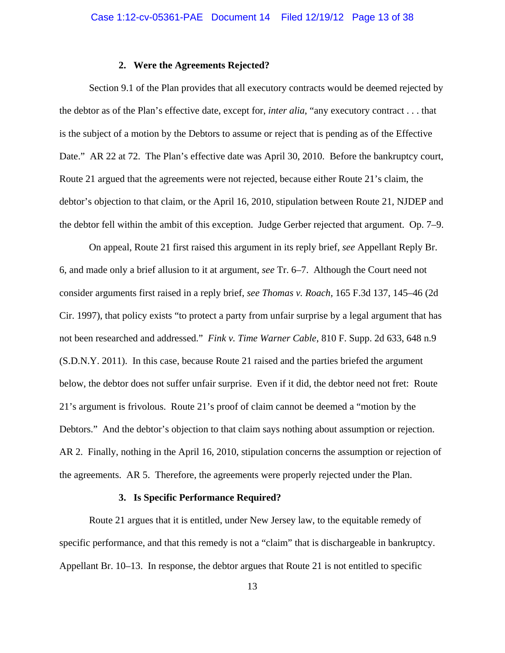### **2. Were the Agreements Rejected?**

Section 9.1 of the Plan provides that all executory contracts would be deemed rejected by the debtor as of the Plan's effective date, except for, *inter alia*, "any executory contract . . . that is the subject of a motion by the Debtors to assume or reject that is pending as of the Effective Date." AR 22 at 72. The Plan's effective date was April 30, 2010. Before the bankruptcy court, Route 21 argued that the agreements were not rejected, because either Route 21's claim, the debtor's objection to that claim, or the April 16, 2010, stipulation between Route 21, NJDEP and the debtor fell within the ambit of this exception. Judge Gerber rejected that argument. Op. 7–9.

On appeal, Route 21 first raised this argument in its reply brief, *see* Appellant Reply Br. 6, and made only a brief allusion to it at argument, *see* Tr. 6–7. Although the Court need not consider arguments first raised in a reply brief, *see Thomas v. Roach*, 165 F.3d 137, 145–46 (2d Cir. 1997), that policy exists "to protect a party from unfair surprise by a legal argument that has not been researched and addressed." *Fink v. Time Warner Cable*, 810 F. Supp. 2d 633, 648 n.9 (S.D.N.Y. 2011). In this case, because Route 21 raised and the parties briefed the argument below, the debtor does not suffer unfair surprise. Even if it did, the debtor need not fret: Route 21's argument is frivolous. Route 21's proof of claim cannot be deemed a "motion by the Debtors." And the debtor's objection to that claim says nothing about assumption or rejection. AR 2. Finally, nothing in the April 16, 2010, stipulation concerns the assumption or rejection of the agreements. AR 5. Therefore, the agreements were properly rejected under the Plan.

#### **3. Is Specific Performance Required?**

Route 21 argues that it is entitled, under New Jersey law, to the equitable remedy of specific performance, and that this remedy is not a "claim" that is dischargeable in bankruptcy. Appellant Br. 10–13. In response, the debtor argues that Route 21 is not entitled to specific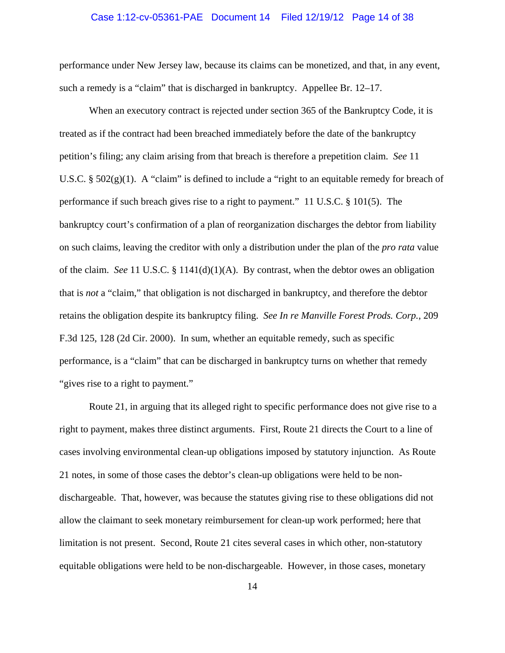### Case 1:12-cv-05361-PAE Document 14 Filed 12/19/12 Page 14 of 38

performance under New Jersey law, because its claims can be monetized, and that, in any event, such a remedy is a "claim" that is discharged in bankruptcy. Appellee Br. 12–17.

When an executory contract is rejected under section 365 of the Bankruptcy Code, it is treated as if the contract had been breached immediately before the date of the bankruptcy petition's filing; any claim arising from that breach is therefore a prepetition claim. *See* 11 U.S.C. §  $502(g)(1)$ . A "claim" is defined to include a "right to an equitable remedy for breach of performance if such breach gives rise to a right to payment." 11 U.S.C. § 101(5). The bankruptcy court's confirmation of a plan of reorganization discharges the debtor from liability on such claims, leaving the creditor with only a distribution under the plan of the *pro rata* value of the claim. *See* 11 U.S.C. § 1141(d)(1)(A). By contrast, when the debtor owes an obligation that is *not* a "claim," that obligation is not discharged in bankruptcy, and therefore the debtor retains the obligation despite its bankruptcy filing. *See In re Manville Forest Prods. Corp.*, 209 F.3d 125, 128 (2d Cir. 2000). In sum, whether an equitable remedy, such as specific performance, is a "claim" that can be discharged in bankruptcy turns on whether that remedy "gives rise to a right to payment."

Route 21, in arguing that its alleged right to specific performance does not give rise to a right to payment, makes three distinct arguments. First, Route 21 directs the Court to a line of cases involving environmental clean-up obligations imposed by statutory injunction. As Route 21 notes, in some of those cases the debtor's clean-up obligations were held to be nondischargeable. That, however, was because the statutes giving rise to these obligations did not allow the claimant to seek monetary reimbursement for clean-up work performed; here that limitation is not present. Second, Route 21 cites several cases in which other, non-statutory equitable obligations were held to be non-dischargeable. However, in those cases, monetary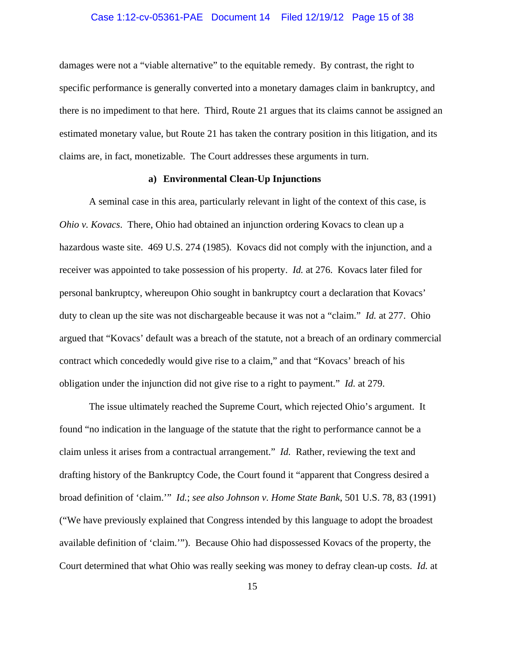### Case 1:12-cv-05361-PAE Document 14 Filed 12/19/12 Page 15 of 38

damages were not a "viable alternative" to the equitable remedy. By contrast, the right to specific performance is generally converted into a monetary damages claim in bankruptcy, and there is no impediment to that here. Third, Route 21 argues that its claims cannot be assigned an estimated monetary value, but Route 21 has taken the contrary position in this litigation, and its claims are, in fact, monetizable. The Court addresses these arguments in turn.

## **a) Environmental Clean-Up Injunctions**

A seminal case in this area, particularly relevant in light of the context of this case, is *Ohio v. Kovacs*. There, Ohio had obtained an injunction ordering Kovacs to clean up a hazardous waste site. 469 U.S. 274 (1985). Kovacs did not comply with the injunction, and a receiver was appointed to take possession of his property. *Id.* at 276. Kovacs later filed for personal bankruptcy, whereupon Ohio sought in bankruptcy court a declaration that Kovacs' duty to clean up the site was not dischargeable because it was not a "claim." *Id.* at 277. Ohio argued that "Kovacs' default was a breach of the statute, not a breach of an ordinary commercial contract which concededly would give rise to a claim," and that "Kovacs' breach of his obligation under the injunction did not give rise to a right to payment." *Id.* at 279.

The issue ultimately reached the Supreme Court, which rejected Ohio's argument. It found "no indication in the language of the statute that the right to performance cannot be a claim unless it arises from a contractual arrangement." *Id.* Rather, reviewing the text and drafting history of the Bankruptcy Code, the Court found it "apparent that Congress desired a broad definition of 'claim.'" *Id.*; *see also Johnson v. Home State Bank*, 501 U.S. 78, 83 (1991) ("We have previously explained that Congress intended by this language to adopt the broadest available definition of 'claim.'"). Because Ohio had dispossessed Kovacs of the property, the Court determined that what Ohio was really seeking was money to defray clean-up costs. *Id.* at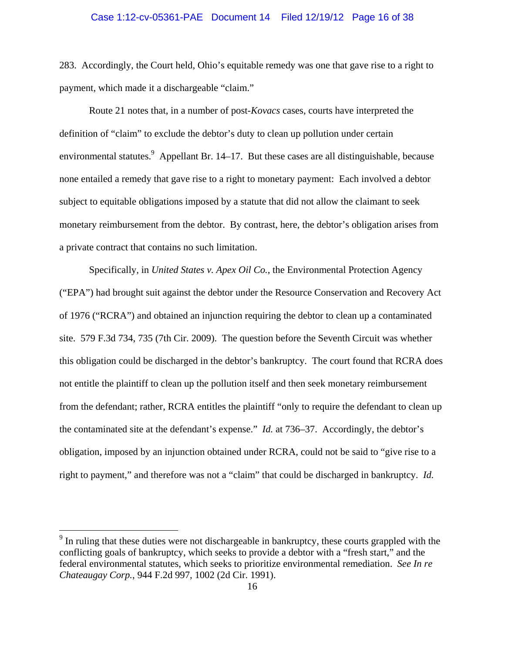#### Case 1:12-cv-05361-PAE Document 14 Filed 12/19/12 Page 16 of 38

283. Accordingly, the Court held, Ohio's equitable remedy was one that gave rise to a right to payment, which made it a dischargeable "claim."

Route 21 notes that, in a number of post-*Kovacs* cases, courts have interpreted the definition of "claim" to exclude the debtor's duty to clean up pollution under certain environmental statutes. Appellant Br. 14–17. But these cases are all distinguishable, because none entailed a remedy that gave rise to a right to monetary payment: Each involved a debtor subject to equitable obligations imposed by a statute that did not allow the claimant to seek monetary reimbursement from the debtor. By contrast, here, the debtor's obligation arises from a private contract that contains no such limitation.

Specifically, in *United States v. Apex Oil Co.*, the Environmental Protection Agency ("EPA") had brought suit against the debtor under the Resource Conservation and Recovery Act of 1976 ("RCRA") and obtained an injunction requiring the debtor to clean up a contaminated site. 579 F.3d 734, 735 (7th Cir. 2009). The question before the Seventh Circuit was whether this obligation could be discharged in the debtor's bankruptcy. The court found that RCRA does not entitle the plaintiff to clean up the pollution itself and then seek monetary reimbursement from the defendant; rather, RCRA entitles the plaintiff "only to require the defendant to clean up the contaminated site at the defendant's expense." *Id.* at 736–37. Accordingly, the debtor's obligation, imposed by an injunction obtained under RCRA, could not be said to "give rise to a right to payment," and therefore was not a "claim" that could be discharged in bankruptcy. *Id.*

 $9$  In ruling that these duties were not dischargeable in bankruptcy, these courts grappled with the conflicting goals of bankruptcy, which seeks to provide a debtor with a "fresh start," and the federal environmental statutes, which seeks to prioritize environmental remediation. *See In re Chateaugay Corp.*, 944 F.2d 997, 1002 (2d Cir. 1991).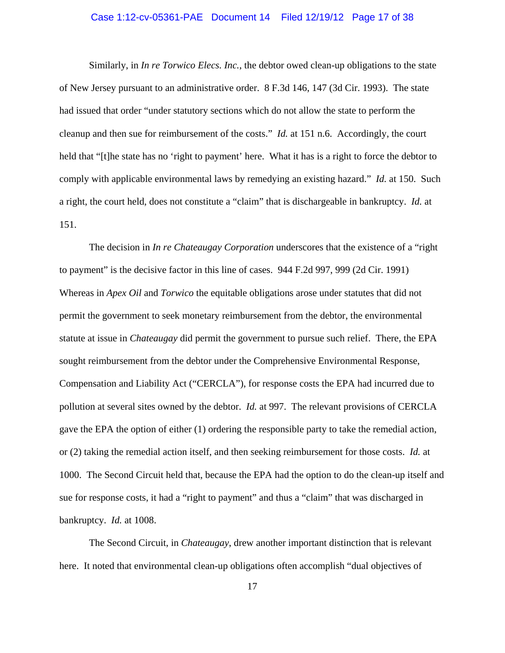### Case 1:12-cv-05361-PAE Document 14 Filed 12/19/12 Page 17 of 38

Similarly, in *In re Torwico Elecs. Inc.*, the debtor owed clean-up obligations to the state of New Jersey pursuant to an administrative order. 8 F.3d 146, 147 (3d Cir. 1993). The state had issued that order "under statutory sections which do not allow the state to perform the cleanup and then sue for reimbursement of the costs." *Id.* at 151 n.6. Accordingly, the court held that "[t]he state has no 'right to payment' here. What it has is a right to force the debtor to comply with applicable environmental laws by remedying an existing hazard." *Id.* at 150. Such a right, the court held, does not constitute a "claim" that is dischargeable in bankruptcy. *Id.* at 151.

The decision in *In re Chateaugay Corporation* underscores that the existence of a "right to payment" is the decisive factor in this line of cases. 944 F.2d 997, 999 (2d Cir. 1991) Whereas in *Apex Oil* and *Torwico* the equitable obligations arose under statutes that did not permit the government to seek monetary reimbursement from the debtor, the environmental statute at issue in *Chateaugay* did permit the government to pursue such relief. There, the EPA sought reimbursement from the debtor under the Comprehensive Environmental Response, Compensation and Liability Act ("CERCLA"), for response costs the EPA had incurred due to pollution at several sites owned by the debtor. *Id.* at 997. The relevant provisions of CERCLA gave the EPA the option of either (1) ordering the responsible party to take the remedial action, or (2) taking the remedial action itself, and then seeking reimbursement for those costs. *Id.* at 1000. The Second Circuit held that, because the EPA had the option to do the clean-up itself and sue for response costs, it had a "right to payment" and thus a "claim" that was discharged in bankruptcy. *Id.* at 1008.

The Second Circuit, in *Chateaugay*, drew another important distinction that is relevant here. It noted that environmental clean-up obligations often accomplish "dual objectives of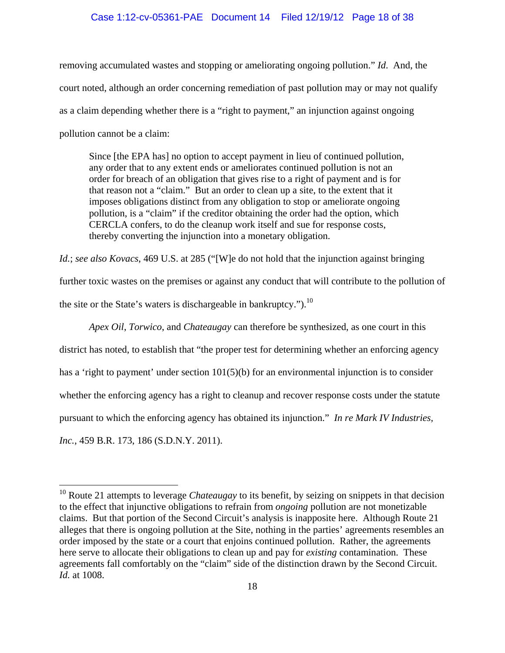### Case 1:12-cv-05361-PAE Document 14 Filed 12/19/12 Page 18 of 38

removing accumulated wastes and stopping or ameliorating ongoing pollution." *Id*. And, the court noted, although an order concerning remediation of past pollution may or may not qualify as a claim depending whether there is a "right to payment," an injunction against ongoing pollution cannot be a claim:

Since [the EPA has] no option to accept payment in lieu of continued pollution, any order that to any extent ends or ameliorates continued pollution is not an order for breach of an obligation that gives rise to a right of payment and is for that reason not a "claim." But an order to clean up a site, to the extent that it imposes obligations distinct from any obligation to stop or ameliorate ongoing pollution, is a "claim" if the creditor obtaining the order had the option, which CERCLA confers, to do the cleanup work itself and sue for response costs, thereby converting the injunction into a monetary obligation.

*Id.*; *see also Kovacs*, 469 U.S. at 285 ("[W]e do not hold that the injunction against bringing further toxic wastes on the premises or against any conduct that will contribute to the pollution of the site or the State's waters is dischargeable in bankruptcy.").<sup>10</sup>

*Apex Oil*, *Torwico*, and *Chateaugay* can therefore be synthesized, as one court in this district has noted, to establish that "the proper test for determining whether an enforcing agency has a 'right to payment' under section 101(5)(b) for an environmental injunction is to consider whether the enforcing agency has a right to cleanup and recover response costs under the statute pursuant to which the enforcing agency has obtained its injunction." *In re Mark IV Industries, Inc.*, 459 B.R. 173, 186 (S.D.N.Y. 2011).

<sup>&</sup>lt;sup>10</sup> Route 21 attempts to leverage *Chateaugay* to its benefit, by seizing on snippets in that decision to the effect that injunctive obligations to refrain from *ongoing* pollution are not monetizable claims. But that portion of the Second Circuit's analysis is inapposite here. Although Route 21 alleges that there is ongoing pollution at the Site, nothing in the parties' agreements resembles an order imposed by the state or a court that enjoins continued pollution. Rather, the agreements here serve to allocate their obligations to clean up and pay for *existing* contamination. These agreements fall comfortably on the "claim" side of the distinction drawn by the Second Circuit. *Id.* at 1008.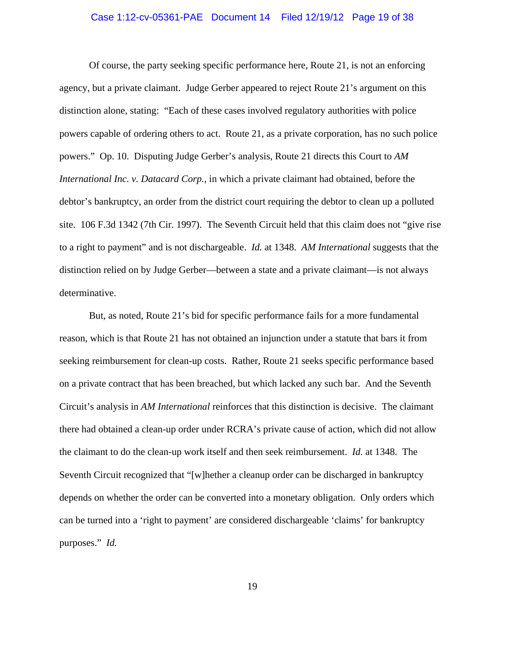### Case 1:12-cv-05361-PAE Document 14 Filed 12/19/12 Page 19 of 38

Of course, the party seeking specific performance here, Route 21, is not an enforcing agency, but a private claimant. Judge Gerber appeared to reject Route 21's argument on this distinction alone, stating: "Each of these cases involved regulatory authorities with police powers capable of ordering others to act. Route 21, as a private corporation, has no such police powers." Op. 10. Disputing Judge Gerber's analysis, Route 21 directs this Court to *AM International Inc. v. Datacard Corp.*, in which a private claimant had obtained, before the debtor's bankruptcy, an order from the district court requiring the debtor to clean up a polluted site. 106 F.3d 1342 (7th Cir. 1997). The Seventh Circuit held that this claim does not "give rise to a right to payment" and is not dischargeable. *Id.* at 1348. *AM International* suggests that the distinction relied on by Judge Gerber—between a state and a private claimant—is not always determinative.

But, as noted, Route 21's bid for specific performance fails for a more fundamental reason, which is that Route 21 has not obtained an injunction under a statute that bars it from seeking reimbursement for clean-up costs. Rather, Route 21 seeks specific performance based on a private contract that has been breached, but which lacked any such bar. And the Seventh Circuit's analysis in *AM International* reinforces that this distinction is decisive. The claimant there had obtained a clean-up order under RCRA's private cause of action, which did not allow the claimant to do the clean-up work itself and then seek reimbursement. *Id.* at 1348. The Seventh Circuit recognized that "[w]hether a cleanup order can be discharged in bankruptcy depends on whether the order can be converted into a monetary obligation. Only orders which can be turned into a 'right to payment' are considered dischargeable 'claims' for bankruptcy purposes." *Id.*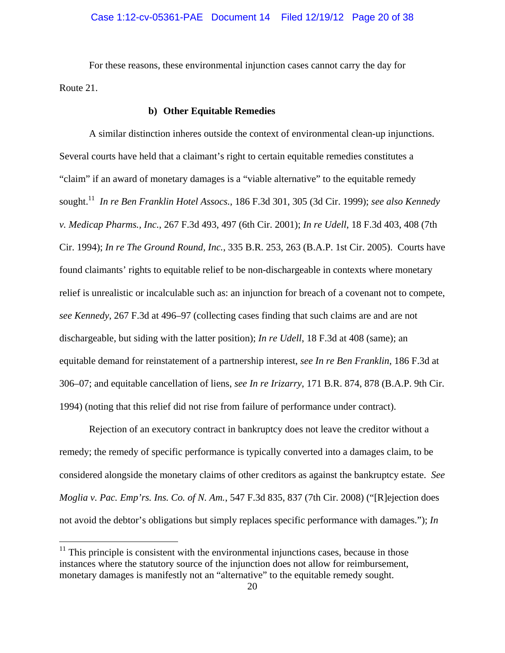For these reasons, these environmental injunction cases cannot carry the day for Route 21.

# **b) Other Equitable Remedies**

A similar distinction inheres outside the context of environmental clean-up injunctions. Several courts have held that a claimant's right to certain equitable remedies constitutes a "claim" if an award of monetary damages is a "viable alternative" to the equitable remedy sought.11 *In re Ben Franklin Hotel Assocs.*, 186 F.3d 301, 305 (3d Cir. 1999); *see also Kennedy v. Medicap Pharms., Inc.*, 267 F.3d 493, 497 (6th Cir. 2001); *In re Udell*, 18 F.3d 403, 408 (7th Cir. 1994); *In re The Ground Round, Inc.*, 335 B.R. 253, 263 (B.A.P. 1st Cir. 2005). Courts have found claimants' rights to equitable relief to be non-dischargeable in contexts where monetary relief is unrealistic or incalculable such as: an injunction for breach of a covenant not to compete, *see Kennedy*, 267 F.3d at 496–97 (collecting cases finding that such claims are and are not dischargeable, but siding with the latter position); *In re Udell*, 18 F.3d at 408 (same); an equitable demand for reinstatement of a partnership interest, *see In re Ben Franklin*, 186 F.3d at 306–07; and equitable cancellation of liens, *see In re Irizarry*, 171 B.R. 874, 878 (B.A.P. 9th Cir. 1994) (noting that this relief did not rise from failure of performance under contract).

Rejection of an executory contract in bankruptcy does not leave the creditor without a remedy; the remedy of specific performance is typically converted into a damages claim, to be considered alongside the monetary claims of other creditors as against the bankruptcy estate. *See Moglia v. Pac. Emp'rs. Ins. Co. of N. Am.*, 547 F.3d 835, 837 (7th Cir. 2008) ("[R]ejection does not avoid the debtor's obligations but simply replaces specific performance with damages."); *In* 

1

 $11$  This principle is consistent with the environmental injunctions cases, because in those instances where the statutory source of the injunction does not allow for reimbursement, monetary damages is manifestly not an "alternative" to the equitable remedy sought.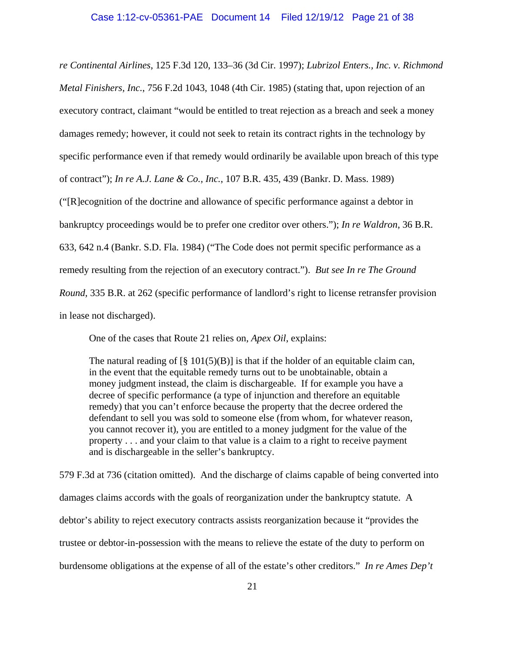*re Continental Airlines*, 125 F.3d 120, 133–36 (3d Cir. 1997); *Lubrizol Enters., Inc. v. Richmond Metal Finishers, Inc.*, 756 F.2d 1043, 1048 (4th Cir. 1985) (stating that, upon rejection of an executory contract, claimant "would be entitled to treat rejection as a breach and seek a money damages remedy; however, it could not seek to retain its contract rights in the technology by specific performance even if that remedy would ordinarily be available upon breach of this type of contract"); *In re A.J. Lane & Co., Inc.*, 107 B.R. 435, 439 (Bankr. D. Mass. 1989) ("[R]ecognition of the doctrine and allowance of specific performance against a debtor in bankruptcy proceedings would be to prefer one creditor over others."); *In re Waldron*, 36 B.R. 633, 642 n.4 (Bankr. S.D. Fla. 1984) ("The Code does not permit specific performance as a remedy resulting from the rejection of an executory contract."). *But see In re The Ground Round*, 335 B.R. at 262 (specific performance of landlord's right to license retransfer provision in lease not discharged).

One of the cases that Route 21 relies on, *Apex Oil*, explains:

The natural reading of  $\lceil \S 101(5)(B) \rceil$  is that if the holder of an equitable claim can, in the event that the equitable remedy turns out to be unobtainable, obtain a money judgment instead, the claim is dischargeable. If for example you have a decree of specific performance (a type of injunction and therefore an equitable remedy) that you can't enforce because the property that the decree ordered the defendant to sell you was sold to someone else (from whom, for whatever reason, you cannot recover it), you are entitled to a money judgment for the value of the property . . . and your claim to that value is a claim to a right to receive payment and is dischargeable in the seller's bankruptcy.

579 F.3d at 736 (citation omitted). And the discharge of claims capable of being converted into damages claims accords with the goals of reorganization under the bankruptcy statute. A debtor's ability to reject executory contracts assists reorganization because it "provides the trustee or debtor-in-possession with the means to relieve the estate of the duty to perform on burdensome obligations at the expense of all of the estate's other creditors." *In re Ames Dep't*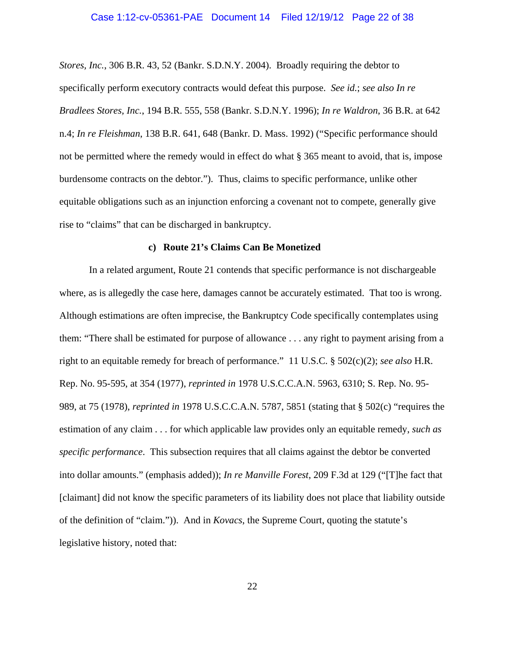### Case 1:12-cv-05361-PAE Document 14 Filed 12/19/12 Page 22 of 38

*Stores, Inc.*, 306 B.R. 43, 52 (Bankr. S.D.N.Y. 2004). Broadly requiring the debtor to specifically perform executory contracts would defeat this purpose. *See id.*; *see also In re Bradlees Stores, Inc.*, 194 B.R. 555, 558 (Bankr. S.D.N.Y. 1996); *In re Waldron*, 36 B.R. at 642 n.4; *In re Fleishman*, 138 B.R. 641, 648 (Bankr. D. Mass. 1992) ("Specific performance should not be permitted where the remedy would in effect do what § 365 meant to avoid, that is, impose burdensome contracts on the debtor."). Thus, claims to specific performance, unlike other equitable obligations such as an injunction enforcing a covenant not to compete, generally give rise to "claims" that can be discharged in bankruptcy.

#### **c) Route 21's Claims Can Be Monetized**

In a related argument, Route 21 contends that specific performance is not dischargeable where, as is allegedly the case here, damages cannot be accurately estimated. That too is wrong. Although estimations are often imprecise, the Bankruptcy Code specifically contemplates using them: "There shall be estimated for purpose of allowance . . . any right to payment arising from a right to an equitable remedy for breach of performance." 11 U.S.C. § 502(c)(2); *see also* H.R. Rep. No. 95-595, at 354 (1977), *reprinted in* 1978 U.S.C.C.A.N. 5963, 6310; S. Rep. No. 95- 989, at 75 (1978), *reprinted in* 1978 U.S.C.C.A.N. 5787, 5851 (stating that § 502(c) "requires the estimation of any claim . . . for which applicable law provides only an equitable remedy, *such as specific performance*. This subsection requires that all claims against the debtor be converted into dollar amounts." (emphasis added)); *In re Manville Forest*, 209 F.3d at 129 ("[T]he fact that [claimant] did not know the specific parameters of its liability does not place that liability outside of the definition of "claim.")). And in *Kovacs*, the Supreme Court, quoting the statute's legislative history, noted that: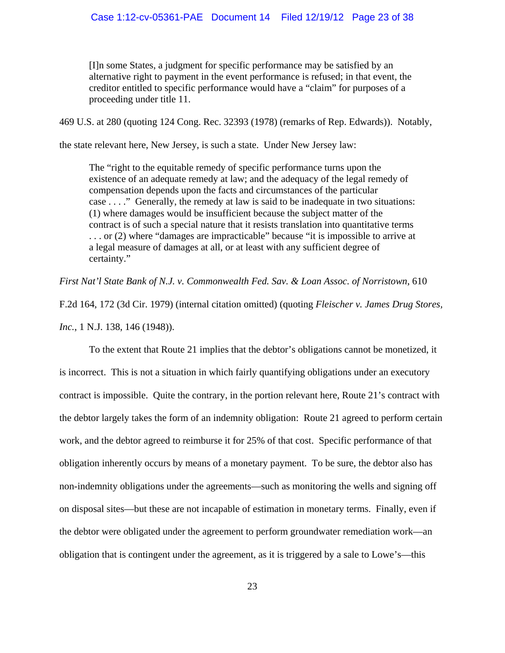[I]n some States, a judgment for specific performance may be satisfied by an alternative right to payment in the event performance is refused; in that event, the creditor entitled to specific performance would have a "claim" for purposes of a proceeding under title 11.

469 U.S. at 280 (quoting 124 Cong. Rec. 32393 (1978) (remarks of Rep. Edwards)). Notably,

the state relevant here, New Jersey, is such a state. Under New Jersey law:

The "right to the equitable remedy of specific performance turns upon the existence of an adequate remedy at law; and the adequacy of the legal remedy of compensation depends upon the facts and circumstances of the particular case . . . ." Generally, the remedy at law is said to be inadequate in two situations: (1) where damages would be insufficient because the subject matter of the contract is of such a special nature that it resists translation into quantitative terms . . . or (2) where "damages are impracticable" because "it is impossible to arrive at a legal measure of damages at all, or at least with any sufficient degree of certainty."

*First Nat'l State Bank of N.J. v. Commonwealth Fed. Sav. & Loan Assoc. of Norristown*, 610

F.2d 164, 172 (3d Cir. 1979) (internal citation omitted) (quoting *Fleischer v. James Drug Stores, Inc.*, 1 N.J. 138, 146 (1948)).

To the extent that Route 21 implies that the debtor's obligations cannot be monetized, it is incorrect. This is not a situation in which fairly quantifying obligations under an executory contract is impossible. Quite the contrary, in the portion relevant here, Route 21's contract with the debtor largely takes the form of an indemnity obligation: Route 21 agreed to perform certain work, and the debtor agreed to reimburse it for 25% of that cost. Specific performance of that obligation inherently occurs by means of a monetary payment. To be sure, the debtor also has non-indemnity obligations under the agreements—such as monitoring the wells and signing off on disposal sites—but these are not incapable of estimation in monetary terms. Finally, even if the debtor were obligated under the agreement to perform groundwater remediation work—an obligation that is contingent under the agreement, as it is triggered by a sale to Lowe's—this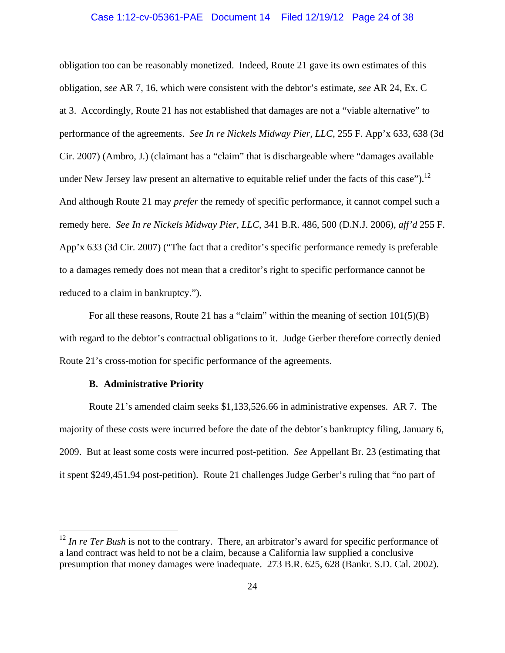#### Case 1:12-cv-05361-PAE Document 14 Filed 12/19/12 Page 24 of 38

obligation too can be reasonably monetized. Indeed, Route 21 gave its own estimates of this obligation, *see* AR 7, 16, which were consistent with the debtor's estimate, *see* AR 24, Ex. C at 3. Accordingly, Route 21 has not established that damages are not a "viable alternative" to performance of the agreements. *See In re Nickels Midway Pier, LLC*, 255 F. App'x 633, 638 (3d Cir. 2007) (Ambro, J.) (claimant has a "claim" that is dischargeable where "damages available under New Jersey law present an alternative to equitable relief under the facts of this case").<sup>12</sup> And although Route 21 may *prefer* the remedy of specific performance, it cannot compel such a remedy here. *See In re Nickels Midway Pier, LLC*, 341 B.R. 486, 500 (D.N.J. 2006), *aff'd* 255 F. App'x 633 (3d Cir. 2007) ("The fact that a creditor's specific performance remedy is preferable to a damages remedy does not mean that a creditor's right to specific performance cannot be reduced to a claim in bankruptcy.").

For all these reasons, Route 21 has a "claim" within the meaning of section  $101(5)(B)$ with regard to the debtor's contractual obligations to it. Judge Gerber therefore correctly denied Route 21's cross-motion for specific performance of the agreements.

## **B. Administrative Priority**

 $\overline{a}$ 

Route 21's amended claim seeks \$1,133,526.66 in administrative expenses. AR 7. The majority of these costs were incurred before the date of the debtor's bankruptcy filing, January 6, 2009. But at least some costs were incurred post-petition. *See* Appellant Br. 23 (estimating that it spent \$249,451.94 post-petition). Route 21 challenges Judge Gerber's ruling that "no part of

<sup>&</sup>lt;sup>12</sup> *In re Ter Bush* is not to the contrary. There, an arbitrator's award for specific performance of a land contract was held to not be a claim, because a California law supplied a conclusive presumption that money damages were inadequate. 273 B.R. 625, 628 (Bankr. S.D. Cal. 2002).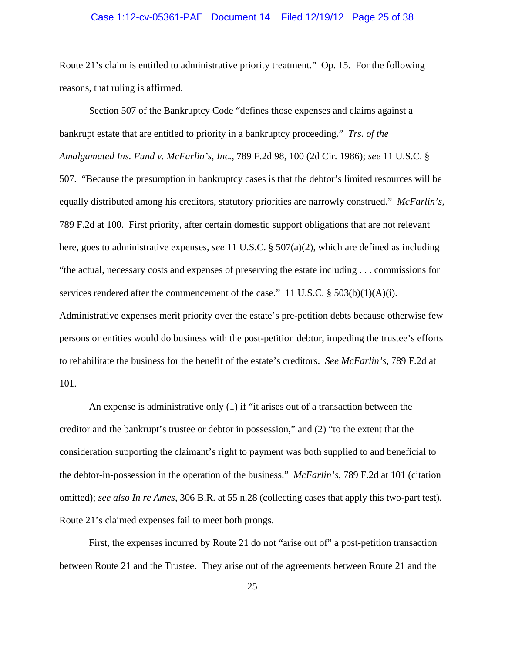### Case 1:12-cv-05361-PAE Document 14 Filed 12/19/12 Page 25 of 38

Route 21's claim is entitled to administrative priority treatment." Op. 15. For the following reasons, that ruling is affirmed.

Section 507 of the Bankruptcy Code "defines those expenses and claims against a bankrupt estate that are entitled to priority in a bankruptcy proceeding." *Trs. of the Amalgamated Ins. Fund v. McFarlin's, Inc.*, 789 F.2d 98, 100 (2d Cir. 1986); *see* 11 U.S.C. § 507. "Because the presumption in bankruptcy cases is that the debtor's limited resources will be equally distributed among his creditors, statutory priorities are narrowly construed." *McFarlin's*, 789 F.2d at 100*.* First priority, after certain domestic support obligations that are not relevant here, goes to administrative expenses, *see* 11 U.S.C. § 507(a)(2), which are defined as including "the actual, necessary costs and expenses of preserving the estate including . . . commissions for services rendered after the commencement of the case." 11 U.S.C. § 503(b)(1)(A)(i). Administrative expenses merit priority over the estate's pre-petition debts because otherwise few persons or entities would do business with the post-petition debtor, impeding the trustee's efforts to rehabilitate the business for the benefit of the estate's creditors. *See McFarlin's*, 789 F.2d at

101.

An expense is administrative only (1) if "it arises out of a transaction between the creditor and the bankrupt's trustee or debtor in possession," and (2) "to the extent that the consideration supporting the claimant's right to payment was both supplied to and beneficial to the debtor-in-possession in the operation of the business." *McFarlin's*, 789 F.2d at 101 (citation omitted); *see also In re Ames*, 306 B.R. at 55 n.28 (collecting cases that apply this two-part test). Route 21's claimed expenses fail to meet both prongs.

First, the expenses incurred by Route 21 do not "arise out of" a post-petition transaction between Route 21 and the Trustee. They arise out of the agreements between Route 21 and the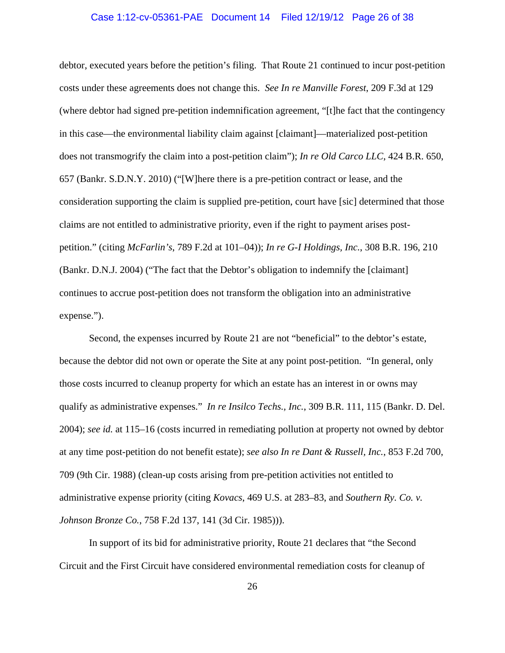### Case 1:12-cv-05361-PAE Document 14 Filed 12/19/12 Page 26 of 38

debtor, executed years before the petition's filing. That Route 21 continued to incur post-petition costs under these agreements does not change this. *See In re Manville Forest*, 209 F.3d at 129 (where debtor had signed pre-petition indemnification agreement, "[t]he fact that the contingency in this case—the environmental liability claim against [claimant]—materialized post-petition does not transmogrify the claim into a post-petition claim"); *In re Old Carco LLC*, 424 B.R. 650, 657 (Bankr. S.D.N.Y. 2010) ("[W]here there is a pre-petition contract or lease, and the consideration supporting the claim is supplied pre-petition, court have [sic] determined that those claims are not entitled to administrative priority, even if the right to payment arises postpetition." (citing *McFarlin's*, 789 F.2d at 101–04)); *In re G-I Holdings, Inc.*, 308 B.R. 196, 210 (Bankr. D.N.J. 2004) ("The fact that the Debtor's obligation to indemnify the [claimant] continues to accrue post-petition does not transform the obligation into an administrative expense.").

Second, the expenses incurred by Route 21 are not "beneficial" to the debtor's estate, because the debtor did not own or operate the Site at any point post-petition. "In general, only those costs incurred to cleanup property for which an estate has an interest in or owns may qualify as administrative expenses." *In re Insilco Techs., Inc.*, 309 B.R. 111, 115 (Bankr. D. Del. 2004); *see id.* at 115–16 (costs incurred in remediating pollution at property not owned by debtor at any time post-petition do not benefit estate); *see also In re Dant & Russell, Inc.*, 853 F.2d 700, 709 (9th Cir. 1988) (clean-up costs arising from pre-petition activities not entitled to administrative expense priority (citing *Kovacs*, 469 U.S. at 283–83, and *Southern Ry. Co. v. Johnson Bronze Co.*, 758 F.2d 137, 141 (3d Cir. 1985))).

In support of its bid for administrative priority, Route 21 declares that "the Second Circuit and the First Circuit have considered environmental remediation costs for cleanup of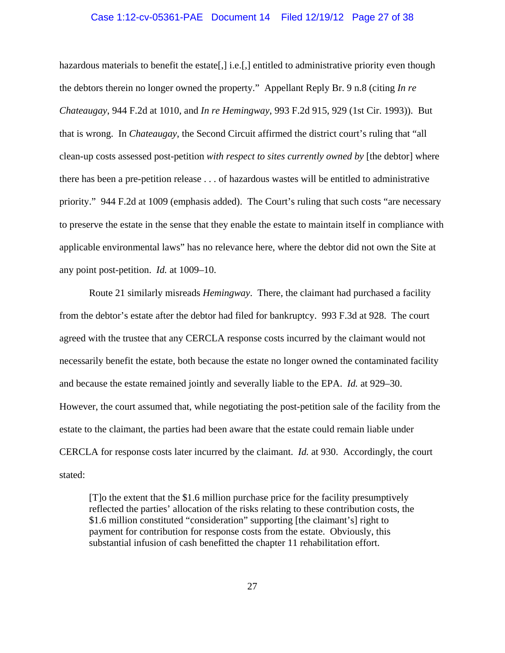# Case 1:12-cv-05361-PAE Document 14 Filed 12/19/12 Page 27 of 38

hazardous materials to benefit the estate, i.e., entitled to administrative priority even though the debtors therein no longer owned the property." Appellant Reply Br. 9 n.8 (citing *In re Chateaugay*, 944 F.2d at 1010, and *In re Hemingway*, 993 F.2d 915, 929 (1st Cir. 1993)). But that is wrong. In *Chateaugay*, the Second Circuit affirmed the district court's ruling that "all clean-up costs assessed post-petition *with respect to sites currently owned by* [the debtor] where there has been a pre-petition release . . . of hazardous wastes will be entitled to administrative priority." 944 F.2d at 1009 (emphasis added). The Court's ruling that such costs "are necessary to preserve the estate in the sense that they enable the estate to maintain itself in compliance with applicable environmental laws" has no relevance here, where the debtor did not own the Site at any point post-petition. *Id.* at 1009–10.

Route 21 similarly misreads *Hemingway*. There, the claimant had purchased a facility from the debtor's estate after the debtor had filed for bankruptcy. 993 F.3d at 928. The court agreed with the trustee that any CERCLA response costs incurred by the claimant would not necessarily benefit the estate, both because the estate no longer owned the contaminated facility and because the estate remained jointly and severally liable to the EPA. *Id.* at 929–30. However, the court assumed that, while negotiating the post-petition sale of the facility from the estate to the claimant, the parties had been aware that the estate could remain liable under CERCLA for response costs later incurred by the claimant. *Id.* at 930. Accordingly, the court stated:

[T]o the extent that the \$1.6 million purchase price for the facility presumptively reflected the parties' allocation of the risks relating to these contribution costs, the \$1.6 million constituted "consideration" supporting [the claimant's] right to payment for contribution for response costs from the estate. Obviously, this substantial infusion of cash benefitted the chapter 11 rehabilitation effort.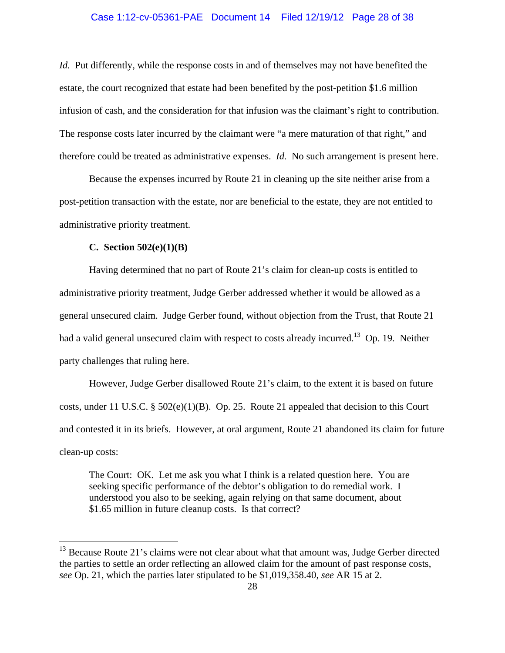#### Case 1:12-cv-05361-PAE Document 14 Filed 12/19/12 Page 28 of 38

*Id.* Put differently, while the response costs in and of themselves may not have benefited the estate, the court recognized that estate had been benefited by the post-petition \$1.6 million infusion of cash, and the consideration for that infusion was the claimant's right to contribution. The response costs later incurred by the claimant were "a mere maturation of that right," and therefore could be treated as administrative expenses. *Id.* No such arrangement is present here.

 Because the expenses incurred by Route 21 in cleaning up the site neither arise from a post-petition transaction with the estate, nor are beneficial to the estate, they are not entitled to administrative priority treatment.

### **C. Section 502(e)(1)(B)**

 $\overline{a}$ 

Having determined that no part of Route 21's claim for clean-up costs is entitled to administrative priority treatment, Judge Gerber addressed whether it would be allowed as a general unsecured claim. Judge Gerber found, without objection from the Trust, that Route 21 had a valid general unsecured claim with respect to costs already incurred.<sup>13</sup> Op. 19. Neither party challenges that ruling here.

However, Judge Gerber disallowed Route 21's claim, to the extent it is based on future costs, under 11 U.S.C. § 502(e)(1)(B). Op. 25. Route 21 appealed that decision to this Court and contested it in its briefs. However, at oral argument, Route 21 abandoned its claim for future clean-up costs:

The Court: OK. Let me ask you what I think is a related question here. You are seeking specific performance of the debtor's obligation to do remedial work. I understood you also to be seeking, again relying on that same document, about \$1.65 million in future cleanup costs. Is that correct?

 $13$  Because Route 21's claims were not clear about what that amount was, Judge Gerber directed the parties to settle an order reflecting an allowed claim for the amount of past response costs, *see* Op. 21, which the parties later stipulated to be \$1,019,358.40, *see* AR 15 at 2.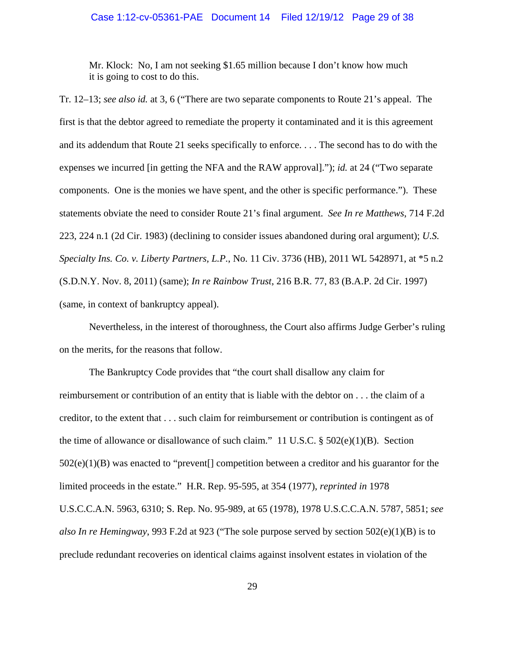### Case 1:12-cv-05361-PAE Document 14 Filed 12/19/12 Page 29 of 38

Mr. Klock: No, I am not seeking \$1.65 million because I don't know how much it is going to cost to do this.

Tr. 12–13; *see also id.* at 3, 6 ("There are two separate components to Route 21's appeal. The first is that the debtor agreed to remediate the property it contaminated and it is this agreement and its addendum that Route 21 seeks specifically to enforce. . . . The second has to do with the expenses we incurred [in getting the NFA and the RAW approval]."); *id.* at 24 ("Two separate components. One is the monies we have spent, and the other is specific performance."). These statements obviate the need to consider Route 21's final argument. *See In re Matthews*, 714 F.2d 223, 224 n.1 (2d Cir. 1983) (declining to consider issues abandoned during oral argument); *U.S. Specialty Ins. Co. v. Liberty Partners, L.P.*, No. 11 Civ. 3736 (HB), 2011 WL 5428971, at \*5 n.2 (S.D.N.Y. Nov. 8, 2011) (same); *In re Rainbow Trust*, 216 B.R. 77, 83 (B.A.P. 2d Cir. 1997) (same, in context of bankruptcy appeal).

Nevertheless, in the interest of thoroughness, the Court also affirms Judge Gerber's ruling on the merits, for the reasons that follow.

The Bankruptcy Code provides that "the court shall disallow any claim for reimbursement or contribution of an entity that is liable with the debtor on . . . the claim of a creditor, to the extent that . . . such claim for reimbursement or contribution is contingent as of the time of allowance or disallowance of such claim." 11 U.S.C.  $\S$  502(e)(1)(B). Section 502(e)(1)(B) was enacted to "prevent[] competition between a creditor and his guarantor for the limited proceeds in the estate." H.R. Rep. 95-595, at 354 (1977), *reprinted in* 1978 U.S.C.C.A.N. 5963, 6310; S. Rep. No. 95-989, at 65 (1978), 1978 U.S.C.C.A.N. 5787, 5851; *see also In re Hemingway*, 993 F.2d at 923 ("The sole purpose served by section 502(e)(1)(B) is to preclude redundant recoveries on identical claims against insolvent estates in violation of the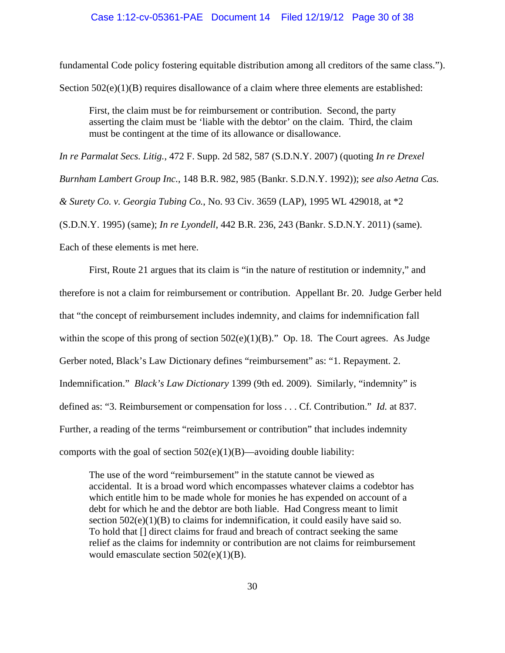### Case 1:12-cv-05361-PAE Document 14 Filed 12/19/12 Page 30 of 38

fundamental Code policy fostering equitable distribution among all creditors of the same class."). Section  $502(e)(1)(B)$  requires disallowance of a claim where three elements are established:

First, the claim must be for reimbursement or contribution. Second, the party asserting the claim must be 'liable with the debtor' on the claim. Third, the claim must be contingent at the time of its allowance or disallowance.

*In re Parmalat Secs. Litig.*, 472 F. Supp. 2d 582, 587 (S.D.N.Y. 2007) (quoting *In re Drexel Burnham Lambert Group Inc.*, 148 B.R. 982, 985 (Bankr. S.D.N.Y. 1992)); *see also Aetna Cas.* 

*& Surety Co. v. Georgia Tubing Co.*, No. 93 Civ. 3659 (LAP), 1995 WL 429018, at \*2

(S.D.N.Y. 1995) (same); *In re Lyondell*, 442 B.R. 236, 243 (Bankr. S.D.N.Y. 2011) (same).

Each of these elements is met here.

First, Route 21 argues that its claim is "in the nature of restitution or indemnity," and therefore is not a claim for reimbursement or contribution. Appellant Br. 20. Judge Gerber held that "the concept of reimbursement includes indemnity, and claims for indemnification fall within the scope of this prong of section  $502(e)(1)(B)$ ." Op. 18. The Court agrees. As Judge Gerber noted, Black's Law Dictionary defines "reimbursement" as: "1. Repayment. 2. Indemnification." *Black's Law Dictionary* 1399 (9th ed. 2009). Similarly, "indemnity" is defined as: "3. Reimbursement or compensation for loss . . . Cf. Contribution." *Id.* at 837. Further, a reading of the terms "reimbursement or contribution" that includes indemnity comports with the goal of section  $502(e)(1)(B)$ —avoiding double liability:

The use of the word "reimbursement" in the statute cannot be viewed as accidental. It is a broad word which encompasses whatever claims a codebtor has which entitle him to be made whole for monies he has expended on account of a debt for which he and the debtor are both liable. Had Congress meant to limit section  $502(e)(1)(B)$  to claims for indemnification, it could easily have said so. To hold that [] direct claims for fraud and breach of contract seeking the same relief as the claims for indemnity or contribution are not claims for reimbursement would emasculate section  $502(e)(1)(B)$ .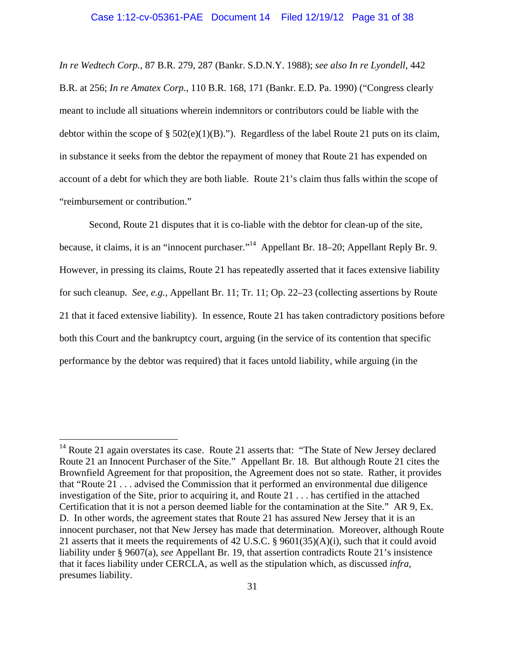*In re Wedtech Corp.*, 87 B.R. 279, 287 (Bankr. S.D.N.Y. 1988); *see also In re Lyondell*, 442 B.R. at 256; *In re Amatex Corp.*, 110 B.R. 168, 171 (Bankr. E.D. Pa. 1990) ("Congress clearly meant to include all situations wherein indemnitors or contributors could be liable with the debtor within the scope of  $\S 502(e)(1)(B)$ ."). Regardless of the label Route 21 puts on its claim, in substance it seeks from the debtor the repayment of money that Route 21 has expended on account of a debt for which they are both liable. Route 21's claim thus falls within the scope of "reimbursement or contribution."

Second, Route 21 disputes that it is co-liable with the debtor for clean-up of the site, because, it claims, it is an "innocent purchaser."14 Appellant Br. 18–20; Appellant Reply Br. 9. However, in pressing its claims, Route 21 has repeatedly asserted that it faces extensive liability for such cleanup. *See, e.g.*, Appellant Br. 11; Tr. 11; Op. 22–23 (collecting assertions by Route 21 that it faced extensive liability). In essence, Route 21 has taken contradictory positions before both this Court and the bankruptcy court, arguing (in the service of its contention that specific performance by the debtor was required) that it faces untold liability, while arguing (in the

 $14$  Route 21 again overstates its case. Route 21 asserts that: "The State of New Jersey declared Route 21 an Innocent Purchaser of the Site." Appellant Br. 18. But although Route 21 cites the Brownfield Agreement for that proposition, the Agreement does not so state. Rather, it provides that "Route 21 . . . advised the Commission that it performed an environmental due diligence investigation of the Site, prior to acquiring it, and Route 21 . . . has certified in the attached Certification that it is not a person deemed liable for the contamination at the Site." AR 9, Ex. D. In other words, the agreement states that Route 21 has assured New Jersey that it is an innocent purchaser, not that New Jersey has made that determination. Moreover, although Route 21 asserts that it meets the requirements of 42 U.S.C. § 9601(35)(A)(i), such that it could avoid liability under § 9607(a), *see* Appellant Br. 19, that assertion contradicts Route 21's insistence that it faces liability under CERCLA, as well as the stipulation which, as discussed *infra*, presumes liability.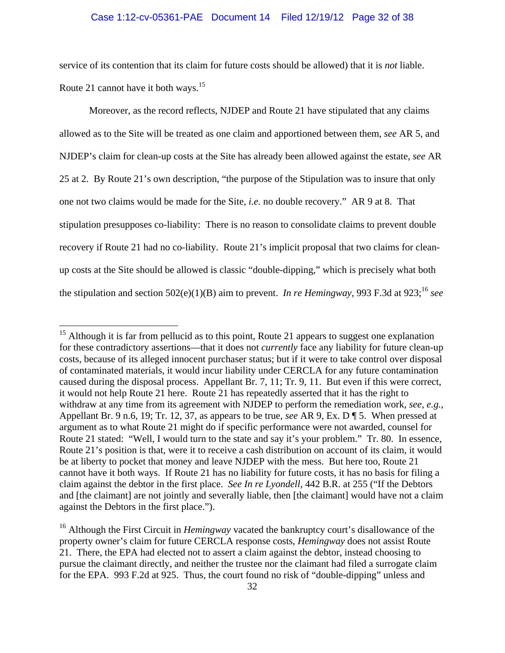## Case 1:12-cv-05361-PAE Document 14 Filed 12/19/12 Page 32 of 38

service of its contention that its claim for future costs should be allowed) that it is *not* liable. Route 21 cannot have it both ways.<sup>15</sup>

Moreover, as the record reflects, NJDEP and Route 21 have stipulated that any claims allowed as to the Site will be treated as one claim and apportioned between them, *see* AR 5, and NJDEP's claim for clean-up costs at the Site has already been allowed against the estate, *see* AR 25 at 2. By Route 21's own description, "the purpose of the Stipulation was to insure that only one not two claims would be made for the Site, *i.e.* no double recovery." AR 9 at 8. That stipulation presupposes co-liability: There is no reason to consolidate claims to prevent double recovery if Route 21 had no co-liability. Route 21's implicit proposal that two claims for cleanup costs at the Site should be allowed is classic "double-dipping," which is precisely what both the stipulation and section  $502(e)(1)(B)$  aim to prevent. *In re Hemingway*, 993 F.3d at 923;<sup>16</sup> see

1

 $15$  Although it is far from pellucid as to this point, Route 21 appears to suggest one explanation for these contradictory assertions—that it does not *currently* face any liability for future clean-up costs, because of its alleged innocent purchaser status; but if it were to take control over disposal of contaminated materials, it would incur liability under CERCLA for any future contamination caused during the disposal process. Appellant Br. 7, 11; Tr. 9, 11. But even if this were correct, it would not help Route 21 here. Route 21 has repeatedly asserted that it has the right to withdraw at any time from its agreement with NJDEP to perform the remediation work, *see, e.g.*, Appellant Br. 9 n.6, 19; Tr. 12, 37, as appears to be true, *see* AR 9, Ex. D ¶ 5. When pressed at argument as to what Route 21 might do if specific performance were not awarded, counsel for Route 21 stated: "Well, I would turn to the state and say it's your problem." Tr. 80. In essence, Route 21's position is that, were it to receive a cash distribution on account of its claim, it would be at liberty to pocket that money and leave NJDEP with the mess. But here too, Route 21 cannot have it both ways. If Route 21 has no liability for future costs, it has no basis for filing a claim against the debtor in the first place. *See In re Lyondell*, 442 B.R. at 255 ("If the Debtors and [the claimant] are not jointly and severally liable, then [the claimant] would have not a claim against the Debtors in the first place.").

<sup>&</sup>lt;sup>16</sup> Although the First Circuit in *Hemingway* vacated the bankruptcy court's disallowance of the property owner's claim for future CERCLA response costs, *Hemingway* does not assist Route 21. There, the EPA had elected not to assert a claim against the debtor, instead choosing to pursue the claimant directly, and neither the trustee nor the claimant had filed a surrogate claim for the EPA. 993 F.2d at 925. Thus, the court found no risk of "double-dipping" unless and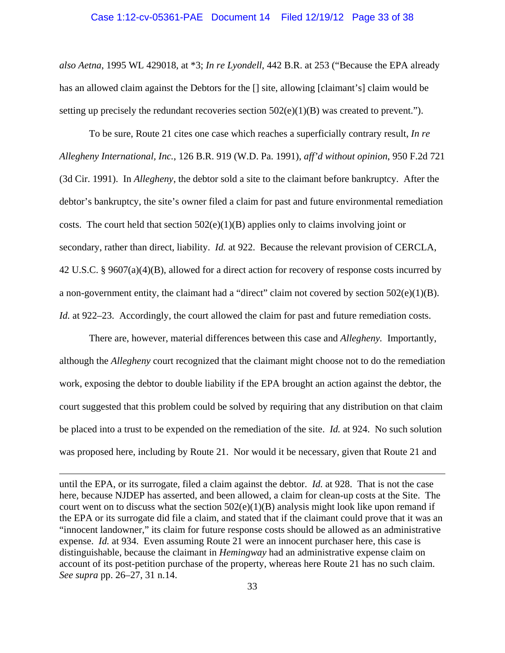#### Case 1:12-cv-05361-PAE Document 14 Filed 12/19/12 Page 33 of 38

*also Aetna*, 1995 WL 429018, at \*3; *In re Lyondell*, 442 B.R. at 253 ("Because the EPA already has an allowed claim against the Debtors for the  $\iota$  site, allowing [claimant's] claim would be setting up precisely the redundant recoveries section  $502(e)(1)(B)$  was created to prevent.").

To be sure, Route 21 cites one case which reaches a superficially contrary result, *In re Allegheny International, Inc.*, 126 B.R. 919 (W.D. Pa. 1991), *aff'd without opinion*, 950 F.2d 721 (3d Cir. 1991). In *Allegheny*, the debtor sold a site to the claimant before bankruptcy. After the debtor's bankruptcy, the site's owner filed a claim for past and future environmental remediation costs. The court held that section  $502(e)(1)(B)$  applies only to claims involving joint or secondary, rather than direct, liability. *Id.* at 922. Because the relevant provision of CERCLA, 42 U.S.C. § 9607(a)(4)(B), allowed for a direct action for recovery of response costs incurred by a non-government entity, the claimant had a "direct" claim not covered by section 502(e)(1)(B). *Id.* at 922–23. Accordingly, the court allowed the claim for past and future remediation costs.

There are, however, material differences between this case and *Allegheny.* Importantly, although the *Allegheny* court recognized that the claimant might choose not to do the remediation work, exposing the debtor to double liability if the EPA brought an action against the debtor, the court suggested that this problem could be solved by requiring that any distribution on that claim be placed into a trust to be expended on the remediation of the site. *Id.* at 924. No such solution was proposed here, including by Route 21. Nor would it be necessary, given that Route 21 and

until the EPA, or its surrogate, filed a claim against the debtor. *Id.* at 928. That is not the case here, because NJDEP has asserted, and been allowed, a claim for clean-up costs at the Site. The court went on to discuss what the section  $502(e)(1)(B)$  analysis might look like upon remand if the EPA or its surrogate did file a claim, and stated that if the claimant could prove that it was an "innocent landowner," its claim for future response costs should be allowed as an administrative expense. *Id.* at 934. Even assuming Route 21 were an innocent purchaser here, this case is distinguishable, because the claimant in *Hemingway* had an administrative expense claim on account of its post-petition purchase of the property, whereas here Route 21 has no such claim. *See supra* pp. 26–27, 31 n.14.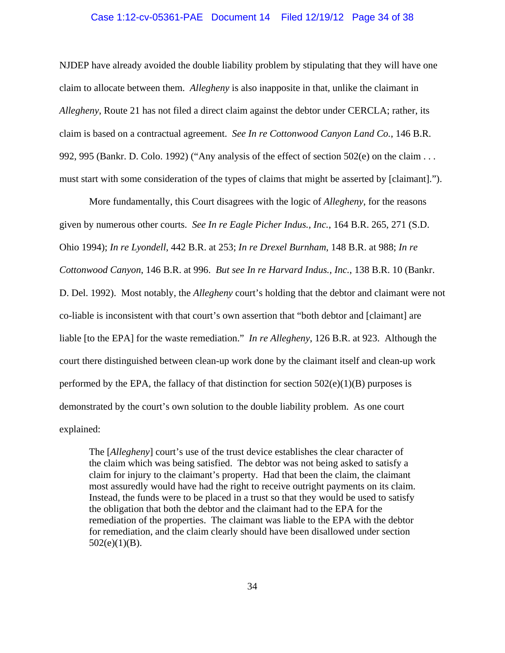## Case 1:12-cv-05361-PAE Document 14 Filed 12/19/12 Page 34 of 38

NJDEP have already avoided the double liability problem by stipulating that they will have one claim to allocate between them. *Allegheny* is also inapposite in that, unlike the claimant in *Allegheny*, Route 21 has not filed a direct claim against the debtor under CERCLA; rather, its claim is based on a contractual agreement. *See In re Cottonwood Canyon Land Co.*, 146 B.R. 992, 995 (Bankr. D. Colo. 1992) ("Any analysis of the effect of section 502(e) on the claim . . . must start with some consideration of the types of claims that might be asserted by [claimant].").

More fundamentally, this Court disagrees with the logic of *Allegheny*, for the reasons given by numerous other courts. *See In re Eagle Picher Indus., Inc.*, 164 B.R. 265, 271 (S.D. Ohio 1994); *In re Lyondell*, 442 B.R. at 253; *In re Drexel Burnham*, 148 B.R. at 988; *In re Cottonwood Canyon*, 146 B.R. at 996. *But see In re Harvard Indus., Inc.*, 138 B.R. 10 (Bankr. D. Del. 1992). Most notably, the *Allegheny* court's holding that the debtor and claimant were not co-liable is inconsistent with that court's own assertion that "both debtor and [claimant] are liable [to the EPA] for the waste remediation." *In re Allegheny*, 126 B.R. at 923. Although the court there distinguished between clean-up work done by the claimant itself and clean-up work performed by the EPA, the fallacy of that distinction for section  $502(e)(1)(B)$  purposes is demonstrated by the court's own solution to the double liability problem. As one court explained:

The [*Allegheny*] court's use of the trust device establishes the clear character of the claim which was being satisfied. The debtor was not being asked to satisfy a claim for injury to the claimant's property. Had that been the claim, the claimant most assuredly would have had the right to receive outright payments on its claim. Instead, the funds were to be placed in a trust so that they would be used to satisfy the obligation that both the debtor and the claimant had to the EPA for the remediation of the properties. The claimant was liable to the EPA with the debtor for remediation, and the claim clearly should have been disallowed under section  $502(e)(1)(B)$ .

34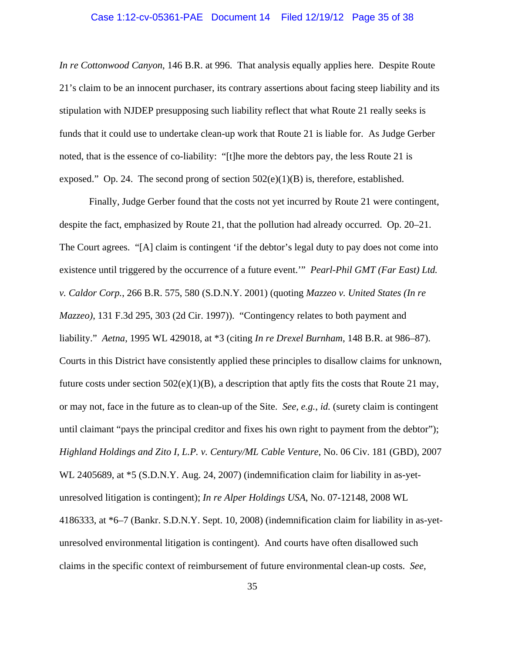#### Case 1:12-cv-05361-PAE Document 14 Filed 12/19/12 Page 35 of 38

*In re Cottonwood Canyon*, 146 B.R. at 996. That analysis equally applies here. Despite Route 21's claim to be an innocent purchaser, its contrary assertions about facing steep liability and its stipulation with NJDEP presupposing such liability reflect that what Route 21 really seeks is funds that it could use to undertake clean-up work that Route 21 is liable for. As Judge Gerber noted, that is the essence of co-liability: "[t]he more the debtors pay, the less Route 21 is exposed." Op. 24. The second prong of section  $502(e)(1)(B)$  is, therefore, established.

Finally, Judge Gerber found that the costs not yet incurred by Route 21 were contingent, despite the fact, emphasized by Route 21, that the pollution had already occurred. Op. 20–21. The Court agrees. "[A] claim is contingent 'if the debtor's legal duty to pay does not come into existence until triggered by the occurrence of a future event.'" *Pearl-Phil GMT (Far East) Ltd. v. Caldor Corp.*, 266 B.R. 575, 580 (S.D.N.Y. 2001) (quoting *Mazzeo v. United States (In re Mazzeo)*, 131 F.3d 295, 303 (2d Cir. 1997)). "Contingency relates to both payment and liability." *Aetna*, 1995 WL 429018, at \*3 (citing *In re Drexel Burnham*, 148 B.R. at 986–87). Courts in this District have consistently applied these principles to disallow claims for unknown, future costs under section  $502(e)(1)(B)$ , a description that aptly fits the costs that Route 21 may, or may not, face in the future as to clean-up of the Site. *See, e.g.*, *id.* (surety claim is contingent until claimant "pays the principal creditor and fixes his own right to payment from the debtor"); *Highland Holdings and Zito I, L.P. v. Century/ML Cable Venture*, No. 06 Civ. 181 (GBD), 2007 WL 2405689, at \*5 (S.D.N.Y. Aug. 24, 2007) (indemnification claim for liability in as-yetunresolved litigation is contingent); *In re Alper Holdings USA*, No. 07-12148, 2008 WL 4186333, at \*6–7 (Bankr. S.D.N.Y. Sept. 10, 2008) (indemnification claim for liability in as-yetunresolved environmental litigation is contingent). And courts have often disallowed such claims in the specific context of reimbursement of future environmental clean-up costs. *See,*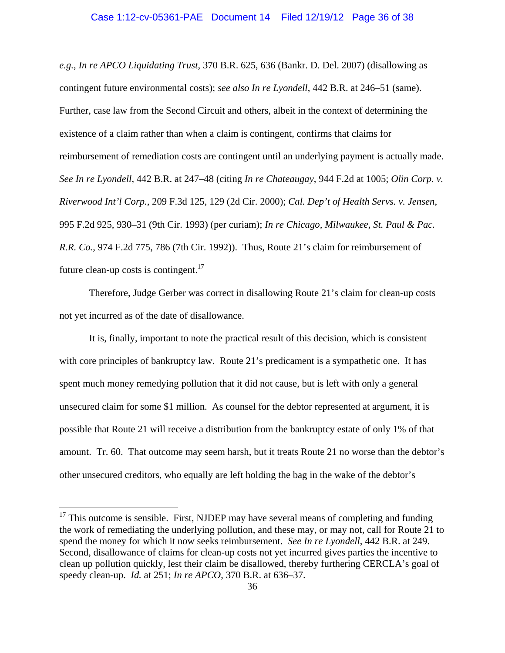*e.g.*, *In re APCO Liquidating Trust*, 370 B.R. 625, 636 (Bankr. D. Del. 2007) (disallowing as contingent future environmental costs); *see also In re Lyondell*, 442 B.R. at 246–51 (same). Further, case law from the Second Circuit and others, albeit in the context of determining the existence of a claim rather than when a claim is contingent, confirms that claims for reimbursement of remediation costs are contingent until an underlying payment is actually made. *See In re Lyondell*, 442 B.R. at 247–48 (citing *In re Chateaugay*, 944 F.2d at 1005; *Olin Corp. v. Riverwood Int'l Corp.*, 209 F.3d 125, 129 (2d Cir. 2000); *Cal. Dep't of Health Servs. v. Jensen*, 995 F.2d 925, 930–31 (9th Cir. 1993) (per curiam); *In re Chicago, Milwaukee, St. Paul & Pac. R.R. Co.*, 974 F.2d 775, 786 (7th Cir. 1992)). Thus, Route 21's claim for reimbursement of future clean-up costs is contingent.<sup>17</sup>

Therefore, Judge Gerber was correct in disallowing Route 21's claim for clean-up costs not yet incurred as of the date of disallowance.

It is, finally, important to note the practical result of this decision, which is consistent with core principles of bankruptcy law. Route 21's predicament is a sympathetic one. It has spent much money remedying pollution that it did not cause, but is left with only a general unsecured claim for some \$1 million. As counsel for the debtor represented at argument, it is possible that Route 21 will receive a distribution from the bankruptcy estate of only 1% of that amount. Tr. 60. That outcome may seem harsh, but it treats Route 21 no worse than the debtor's other unsecured creditors, who equally are left holding the bag in the wake of the debtor's

 $17$  This outcome is sensible. First, NJDEP may have several means of completing and funding the work of remediating the underlying pollution, and these may, or may not, call for Route 21 to spend the money for which it now seeks reimbursement. *See In re Lyondell*, 442 B.R. at 249. Second, disallowance of claims for clean-up costs not yet incurred gives parties the incentive to clean up pollution quickly, lest their claim be disallowed, thereby furthering CERCLA's goal of speedy clean-up. *Id.* at 251; *In re APCO*, 370 B.R. at 636–37.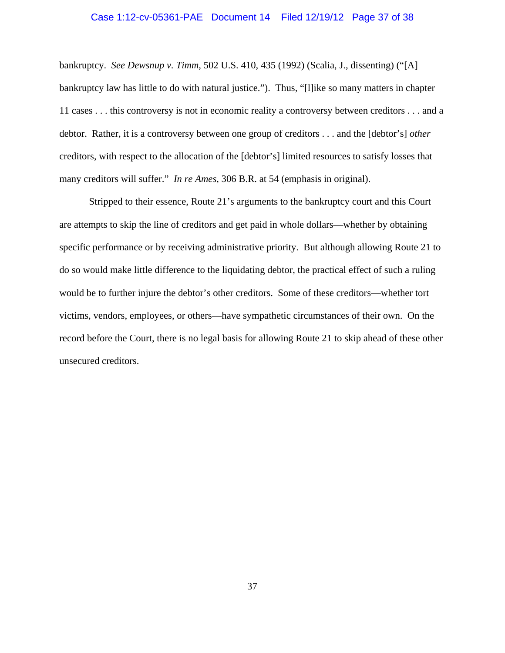### Case 1:12-cv-05361-PAE Document 14 Filed 12/19/12 Page 37 of 38

bankruptcy. *See Dewsnup v. Timm*, 502 U.S. 410, 435 (1992) (Scalia, J., dissenting) ("[A] bankruptcy law has little to do with natural justice."). Thus, "[l]ike so many matters in chapter 11 cases . . . this controversy is not in economic reality a controversy between creditors . . . and a debtor. Rather, it is a controversy between one group of creditors . . . and the [debtor's] *other* creditors, with respect to the allocation of the [debtor's] limited resources to satisfy losses that many creditors will suffer." *In re Ames*, 306 B.R. at 54 (emphasis in original).

Stripped to their essence, Route 21's arguments to the bankruptcy court and this Court are attempts to skip the line of creditors and get paid in whole dollars—whether by obtaining specific performance or by receiving administrative priority. But although allowing Route 21 to do so would make little difference to the liquidating debtor, the practical effect of such a ruling would be to further injure the debtor's other creditors. Some of these creditors—whether tort victims, vendors, employees, or others—have sympathetic circumstances of their own. On the record before the Court, there is no legal basis for allowing Route 21 to skip ahead of these other unsecured creditors.